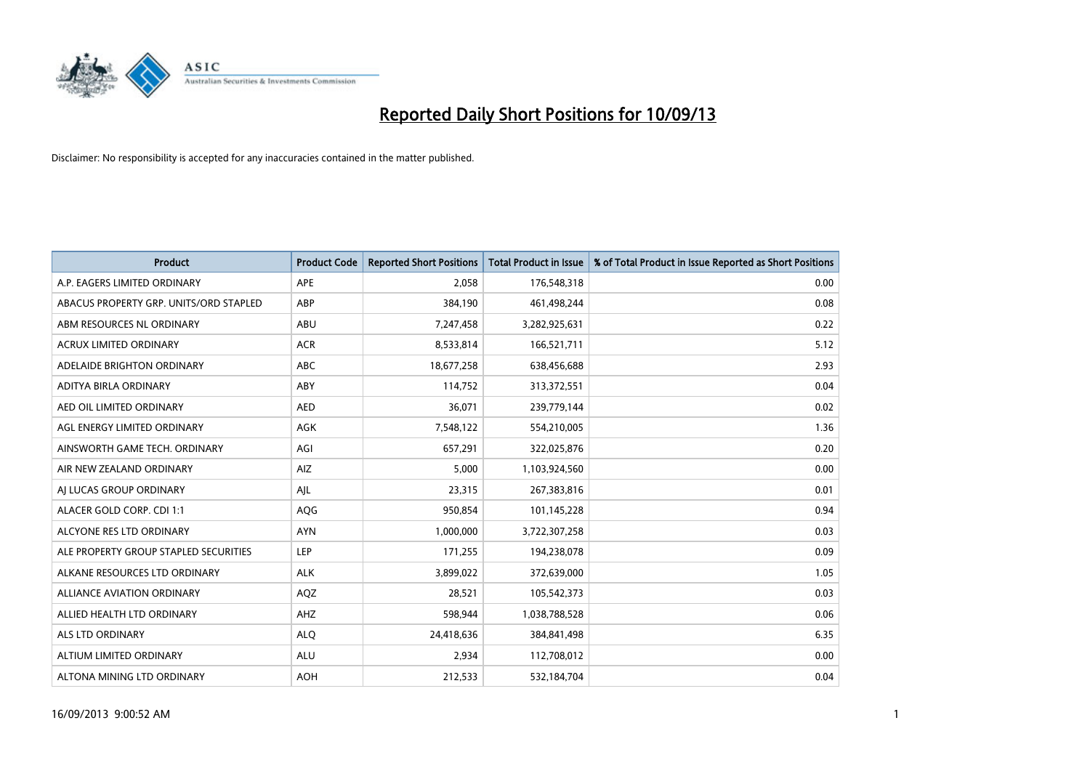

| <b>Product</b>                         | <b>Product Code</b> | <b>Reported Short Positions</b> | <b>Total Product in Issue</b> | % of Total Product in Issue Reported as Short Positions |
|----------------------------------------|---------------------|---------------------------------|-------------------------------|---------------------------------------------------------|
| A.P. EAGERS LIMITED ORDINARY           | APE                 | 2,058                           | 176,548,318                   | 0.00                                                    |
| ABACUS PROPERTY GRP. UNITS/ORD STAPLED | ABP                 | 384,190                         | 461,498,244                   | 0.08                                                    |
| ABM RESOURCES NL ORDINARY              | ABU                 | 7,247,458                       | 3,282,925,631                 | 0.22                                                    |
| <b>ACRUX LIMITED ORDINARY</b>          | <b>ACR</b>          | 8,533,814                       | 166,521,711                   | 5.12                                                    |
| ADELAIDE BRIGHTON ORDINARY             | <b>ABC</b>          | 18,677,258                      | 638,456,688                   | 2.93                                                    |
| ADITYA BIRLA ORDINARY                  | ABY                 | 114,752                         | 313,372,551                   | 0.04                                                    |
| AED OIL LIMITED ORDINARY               | <b>AED</b>          | 36,071                          | 239,779,144                   | 0.02                                                    |
| AGL ENERGY LIMITED ORDINARY            | AGK                 | 7,548,122                       | 554,210,005                   | 1.36                                                    |
| AINSWORTH GAME TECH. ORDINARY          | AGI                 | 657,291                         | 322,025,876                   | 0.20                                                    |
| AIR NEW ZEALAND ORDINARY               | <b>AIZ</b>          | 5,000                           | 1,103,924,560                 | 0.00                                                    |
| AJ LUCAS GROUP ORDINARY                | AJL                 | 23,315                          | 267,383,816                   | 0.01                                                    |
| ALACER GOLD CORP. CDI 1:1              | AQG                 | 950,854                         | 101,145,228                   | 0.94                                                    |
| ALCYONE RES LTD ORDINARY               | <b>AYN</b>          | 1,000,000                       | 3,722,307,258                 | 0.03                                                    |
| ALE PROPERTY GROUP STAPLED SECURITIES  | LEP                 | 171,255                         | 194,238,078                   | 0.09                                                    |
| ALKANE RESOURCES LTD ORDINARY          | <b>ALK</b>          | 3,899,022                       | 372,639,000                   | 1.05                                                    |
| ALLIANCE AVIATION ORDINARY             | AQZ                 | 28,521                          | 105,542,373                   | 0.03                                                    |
| ALLIED HEALTH LTD ORDINARY             | AHZ                 | 598,944                         | 1,038,788,528                 | 0.06                                                    |
| ALS LTD ORDINARY                       | <b>ALQ</b>          | 24,418,636                      | 384,841,498                   | 6.35                                                    |
| ALTIUM LIMITED ORDINARY                | <b>ALU</b>          | 2,934                           | 112,708,012                   | 0.00                                                    |
| ALTONA MINING LTD ORDINARY             | <b>AOH</b>          | 212,533                         | 532,184,704                   | 0.04                                                    |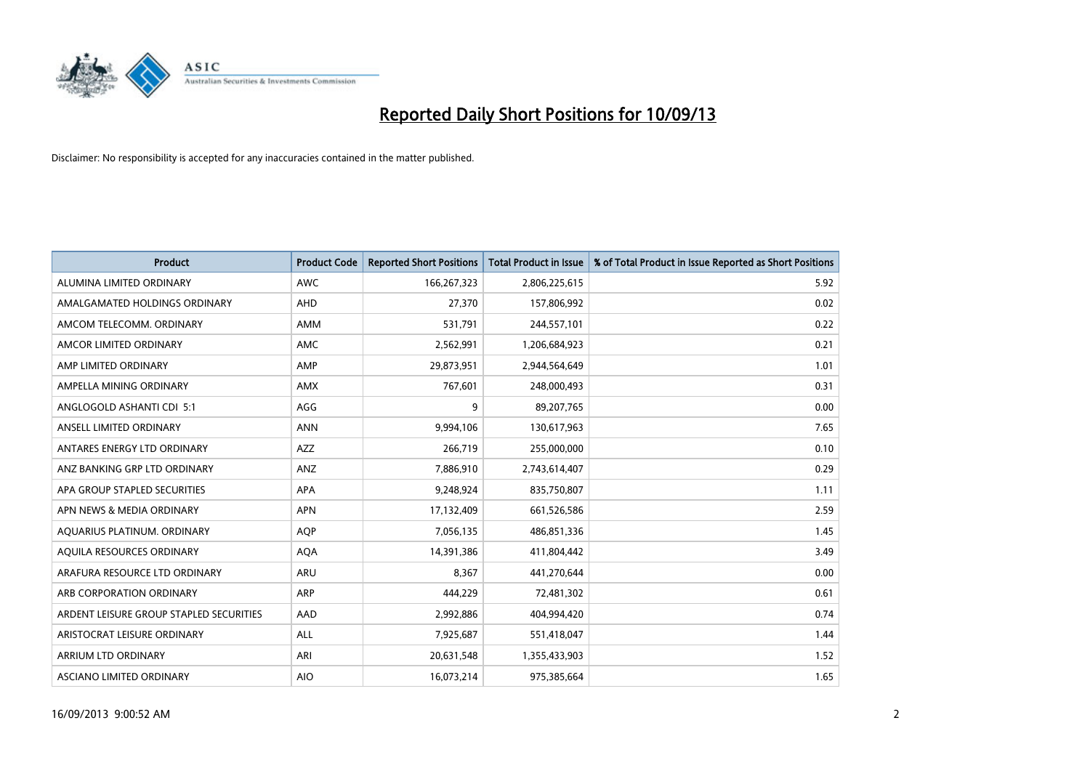

| <b>Product</b>                          | <b>Product Code</b> | <b>Reported Short Positions</b> | <b>Total Product in Issue</b> | % of Total Product in Issue Reported as Short Positions |
|-----------------------------------------|---------------------|---------------------------------|-------------------------------|---------------------------------------------------------|
| ALUMINA LIMITED ORDINARY                | <b>AWC</b>          | 166,267,323                     | 2,806,225,615                 | 5.92                                                    |
| AMALGAMATED HOLDINGS ORDINARY           | AHD                 | 27,370                          | 157,806,992                   | 0.02                                                    |
| AMCOM TELECOMM. ORDINARY                | <b>AMM</b>          | 531,791                         | 244,557,101                   | 0.22                                                    |
| AMCOR LIMITED ORDINARY                  | AMC                 | 2,562,991                       | 1,206,684,923                 | 0.21                                                    |
| AMP LIMITED ORDINARY                    | AMP                 | 29,873,951                      | 2,944,564,649                 | 1.01                                                    |
| AMPELLA MINING ORDINARY                 | <b>AMX</b>          | 767,601                         | 248,000,493                   | 0.31                                                    |
| ANGLOGOLD ASHANTI CDI 5:1               | AGG                 | 9                               | 89,207,765                    | 0.00                                                    |
| ANSELL LIMITED ORDINARY                 | <b>ANN</b>          | 9,994,106                       | 130,617,963                   | 7.65                                                    |
| ANTARES ENERGY LTD ORDINARY             | AZZ                 | 266,719                         | 255,000,000                   | 0.10                                                    |
| ANZ BANKING GRP LTD ORDINARY            | ANZ                 | 7,886,910                       | 2,743,614,407                 | 0.29                                                    |
| APA GROUP STAPLED SECURITIES            | APA                 | 9,248,924                       | 835,750,807                   | 1.11                                                    |
| APN NEWS & MEDIA ORDINARY               | <b>APN</b>          | 17,132,409                      | 661,526,586                   | 2.59                                                    |
| AQUARIUS PLATINUM. ORDINARY             | <b>AQP</b>          | 7,056,135                       | 486,851,336                   | 1.45                                                    |
| AQUILA RESOURCES ORDINARY               | <b>AQA</b>          | 14,391,386                      | 411,804,442                   | 3.49                                                    |
| ARAFURA RESOURCE LTD ORDINARY           | ARU                 | 8,367                           | 441,270,644                   | 0.00                                                    |
| ARB CORPORATION ORDINARY                | ARP                 | 444,229                         | 72,481,302                    | 0.61                                                    |
| ARDENT LEISURE GROUP STAPLED SECURITIES | AAD                 | 2,992,886                       | 404,994,420                   | 0.74                                                    |
| ARISTOCRAT LEISURE ORDINARY             | <b>ALL</b>          | 7,925,687                       | 551,418,047                   | 1.44                                                    |
| ARRIUM LTD ORDINARY                     | ARI                 | 20,631,548                      | 1,355,433,903                 | 1.52                                                    |
| ASCIANO LIMITED ORDINARY                | <b>AIO</b>          | 16,073,214                      | 975,385,664                   | 1.65                                                    |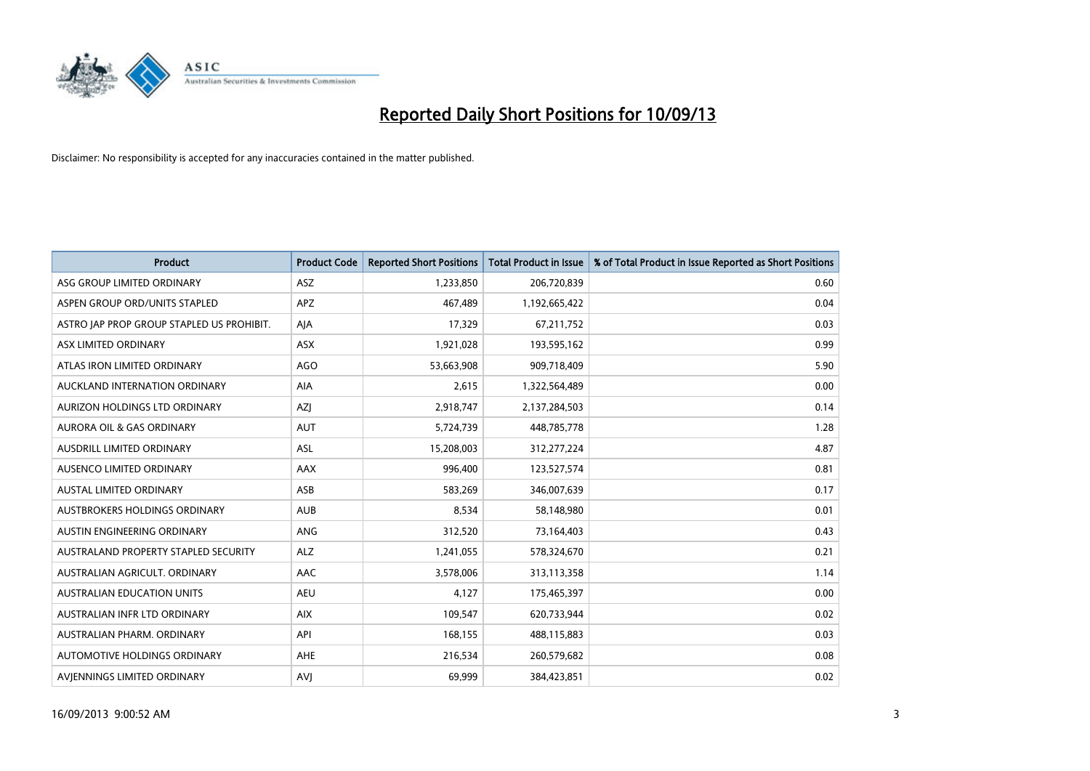

| <b>Product</b>                            | <b>Product Code</b> | <b>Reported Short Positions</b> | <b>Total Product in Issue</b> | % of Total Product in Issue Reported as Short Positions |
|-------------------------------------------|---------------------|---------------------------------|-------------------------------|---------------------------------------------------------|
| ASG GROUP LIMITED ORDINARY                | ASZ                 | 1,233,850                       | 206,720,839                   | 0.60                                                    |
| ASPEN GROUP ORD/UNITS STAPLED             | <b>APZ</b>          | 467,489                         | 1,192,665,422                 | 0.04                                                    |
| ASTRO JAP PROP GROUP STAPLED US PROHIBIT. | AJA                 | 17,329                          | 67,211,752                    | 0.03                                                    |
| ASX LIMITED ORDINARY                      | ASX                 | 1,921,028                       | 193,595,162                   | 0.99                                                    |
| ATLAS IRON LIMITED ORDINARY               | <b>AGO</b>          | 53,663,908                      | 909,718,409                   | 5.90                                                    |
| AUCKLAND INTERNATION ORDINARY             | AIA                 | 2,615                           | 1,322,564,489                 | 0.00                                                    |
| AURIZON HOLDINGS LTD ORDINARY             | AZJ                 | 2,918,747                       | 2,137,284,503                 | 0.14                                                    |
| AURORA OIL & GAS ORDINARY                 | AUT                 | 5,724,739                       | 448,785,778                   | 1.28                                                    |
| AUSDRILL LIMITED ORDINARY                 | <b>ASL</b>          | 15,208,003                      | 312,277,224                   | 4.87                                                    |
| AUSENCO LIMITED ORDINARY                  | AAX                 | 996,400                         | 123,527,574                   | 0.81                                                    |
| AUSTAL LIMITED ORDINARY                   | ASB                 | 583,269                         | 346,007,639                   | 0.17                                                    |
| AUSTBROKERS HOLDINGS ORDINARY             | <b>AUB</b>          | 8,534                           | 58,148,980                    | 0.01                                                    |
| AUSTIN ENGINEERING ORDINARY               | <b>ANG</b>          | 312,520                         | 73,164,403                    | 0.43                                                    |
| AUSTRALAND PROPERTY STAPLED SECURITY      | <b>ALZ</b>          | 1,241,055                       | 578,324,670                   | 0.21                                                    |
| AUSTRALIAN AGRICULT, ORDINARY             | AAC                 | 3,578,006                       | 313,113,358                   | 1.14                                                    |
| AUSTRALIAN EDUCATION UNITS                | <b>AEU</b>          | 4,127                           | 175,465,397                   | 0.00                                                    |
| AUSTRALIAN INFR LTD ORDINARY              | <b>AIX</b>          | 109,547                         | 620,733,944                   | 0.02                                                    |
| AUSTRALIAN PHARM, ORDINARY                | API                 | 168,155                         | 488,115,883                   | 0.03                                                    |
| AUTOMOTIVE HOLDINGS ORDINARY              | <b>AHE</b>          | 216,534                         | 260,579,682                   | 0.08                                                    |
| AVJENNINGS LIMITED ORDINARY               | <b>AVJ</b>          | 69,999                          | 384,423,851                   | 0.02                                                    |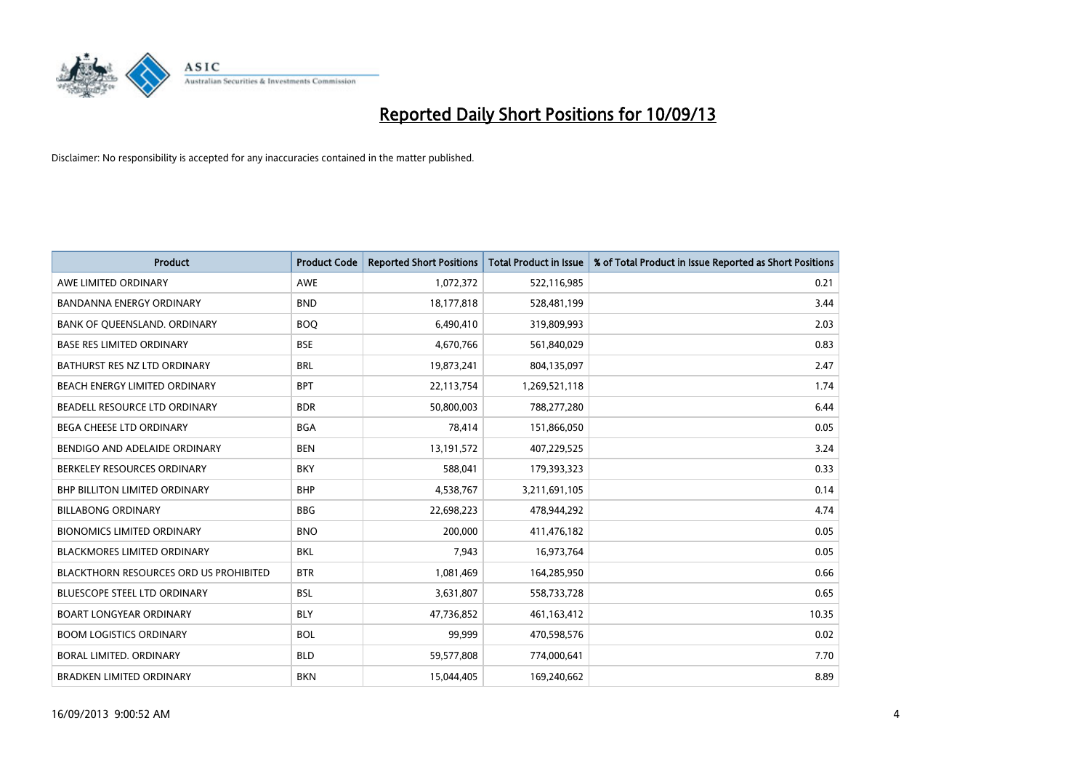

| <b>Product</b>                                | <b>Product Code</b> | <b>Reported Short Positions</b> | <b>Total Product in Issue</b> | % of Total Product in Issue Reported as Short Positions |
|-----------------------------------------------|---------------------|---------------------------------|-------------------------------|---------------------------------------------------------|
| AWE LIMITED ORDINARY                          | <b>AWE</b>          | 1,072,372                       | 522,116,985                   | 0.21                                                    |
| <b>BANDANNA ENERGY ORDINARY</b>               | <b>BND</b>          | 18,177,818                      | 528,481,199                   | 3.44                                                    |
| BANK OF QUEENSLAND. ORDINARY                  | <b>BOQ</b>          | 6,490,410                       | 319,809,993                   | 2.03                                                    |
| <b>BASE RES LIMITED ORDINARY</b>              | <b>BSE</b>          | 4,670,766                       | 561,840,029                   | 0.83                                                    |
| BATHURST RES NZ LTD ORDINARY                  | <b>BRL</b>          | 19,873,241                      | 804,135,097                   | 2.47                                                    |
| BEACH ENERGY LIMITED ORDINARY                 | <b>BPT</b>          | 22,113,754                      | 1,269,521,118                 | 1.74                                                    |
| BEADELL RESOURCE LTD ORDINARY                 | <b>BDR</b>          | 50,800,003                      | 788,277,280                   | 6.44                                                    |
| <b>BEGA CHEESE LTD ORDINARY</b>               | <b>BGA</b>          | 78,414                          | 151,866,050                   | 0.05                                                    |
| BENDIGO AND ADELAIDE ORDINARY                 | <b>BEN</b>          | 13,191,572                      | 407,229,525                   | 3.24                                                    |
| BERKELEY RESOURCES ORDINARY                   | <b>BKY</b>          | 588,041                         | 179,393,323                   | 0.33                                                    |
| BHP BILLITON LIMITED ORDINARY                 | <b>BHP</b>          | 4,538,767                       | 3,211,691,105                 | 0.14                                                    |
| <b>BILLABONG ORDINARY</b>                     | <b>BBG</b>          | 22,698,223                      | 478,944,292                   | 4.74                                                    |
| <b>BIONOMICS LIMITED ORDINARY</b>             | <b>BNO</b>          | 200,000                         | 411,476,182                   | 0.05                                                    |
| <b>BLACKMORES LIMITED ORDINARY</b>            | <b>BKL</b>          | 7,943                           | 16,973,764                    | 0.05                                                    |
| <b>BLACKTHORN RESOURCES ORD US PROHIBITED</b> | <b>BTR</b>          | 1,081,469                       | 164,285,950                   | 0.66                                                    |
| BLUESCOPE STEEL LTD ORDINARY                  | <b>BSL</b>          | 3,631,807                       | 558,733,728                   | 0.65                                                    |
| <b>BOART LONGYEAR ORDINARY</b>                | <b>BLY</b>          | 47,736,852                      | 461,163,412                   | 10.35                                                   |
| <b>BOOM LOGISTICS ORDINARY</b>                | <b>BOL</b>          | 99,999                          | 470,598,576                   | 0.02                                                    |
| <b>BORAL LIMITED, ORDINARY</b>                | <b>BLD</b>          | 59,577,808                      | 774,000,641                   | 7.70                                                    |
| <b>BRADKEN LIMITED ORDINARY</b>               | <b>BKN</b>          | 15,044,405                      | 169,240,662                   | 8.89                                                    |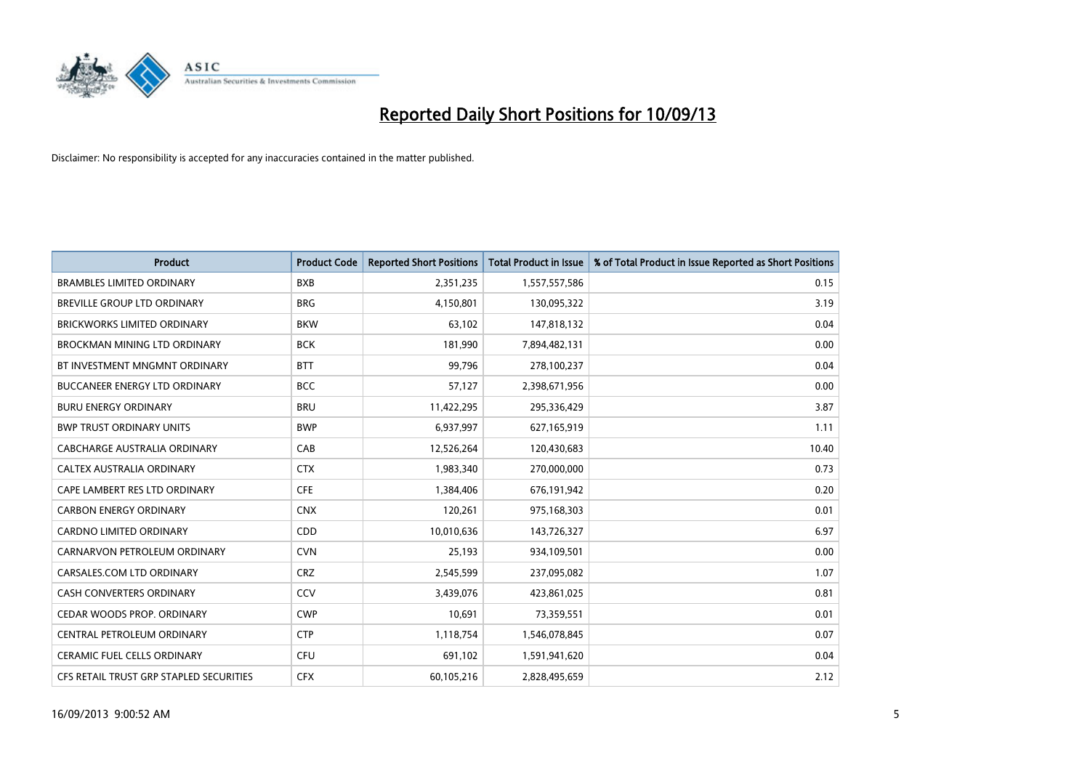

| <b>Product</b>                          | <b>Product Code</b> | <b>Reported Short Positions</b> | <b>Total Product in Issue</b> | % of Total Product in Issue Reported as Short Positions |
|-----------------------------------------|---------------------|---------------------------------|-------------------------------|---------------------------------------------------------|
| <b>BRAMBLES LIMITED ORDINARY</b>        | <b>BXB</b>          | 2,351,235                       | 1,557,557,586                 | 0.15                                                    |
| BREVILLE GROUP LTD ORDINARY             | <b>BRG</b>          | 4,150,801                       | 130,095,322                   | 3.19                                                    |
| <b>BRICKWORKS LIMITED ORDINARY</b>      | <b>BKW</b>          | 63,102                          | 147,818,132                   | 0.04                                                    |
| BROCKMAN MINING LTD ORDINARY            | <b>BCK</b>          | 181,990                         | 7,894,482,131                 | 0.00                                                    |
| BT INVESTMENT MNGMNT ORDINARY           | <b>BTT</b>          | 99,796                          | 278,100,237                   | 0.04                                                    |
| <b>BUCCANEER ENERGY LTD ORDINARY</b>    | <b>BCC</b>          | 57,127                          | 2,398,671,956                 | 0.00                                                    |
| <b>BURU ENERGY ORDINARY</b>             | <b>BRU</b>          | 11,422,295                      | 295,336,429                   | 3.87                                                    |
| <b>BWP TRUST ORDINARY UNITS</b>         | <b>BWP</b>          | 6,937,997                       | 627,165,919                   | 1.11                                                    |
| CABCHARGE AUSTRALIA ORDINARY            | CAB                 | 12,526,264                      | 120,430,683                   | 10.40                                                   |
| CALTEX AUSTRALIA ORDINARY               | <b>CTX</b>          | 1,983,340                       | 270,000,000                   | 0.73                                                    |
| CAPE LAMBERT RES LTD ORDINARY           | <b>CFE</b>          | 1,384,406                       | 676,191,942                   | 0.20                                                    |
| <b>CARBON ENERGY ORDINARY</b>           | <b>CNX</b>          | 120,261                         | 975,168,303                   | 0.01                                                    |
| CARDNO LIMITED ORDINARY                 | CDD                 | 10,010,636                      | 143,726,327                   | 6.97                                                    |
| CARNARVON PETROLEUM ORDINARY            | <b>CVN</b>          | 25,193                          | 934,109,501                   | 0.00                                                    |
| CARSALES.COM LTD ORDINARY               | <b>CRZ</b>          | 2,545,599                       | 237,095,082                   | 1.07                                                    |
| CASH CONVERTERS ORDINARY                | CCV                 | 3,439,076                       | 423,861,025                   | 0.81                                                    |
| CEDAR WOODS PROP. ORDINARY              | <b>CWP</b>          | 10,691                          | 73,359,551                    | 0.01                                                    |
| CENTRAL PETROLEUM ORDINARY              | <b>CTP</b>          | 1,118,754                       | 1,546,078,845                 | 0.07                                                    |
| <b>CERAMIC FUEL CELLS ORDINARY</b>      | <b>CFU</b>          | 691,102                         | 1,591,941,620                 | 0.04                                                    |
| CFS RETAIL TRUST GRP STAPLED SECURITIES | <b>CFX</b>          | 60,105,216                      | 2,828,495,659                 | 2.12                                                    |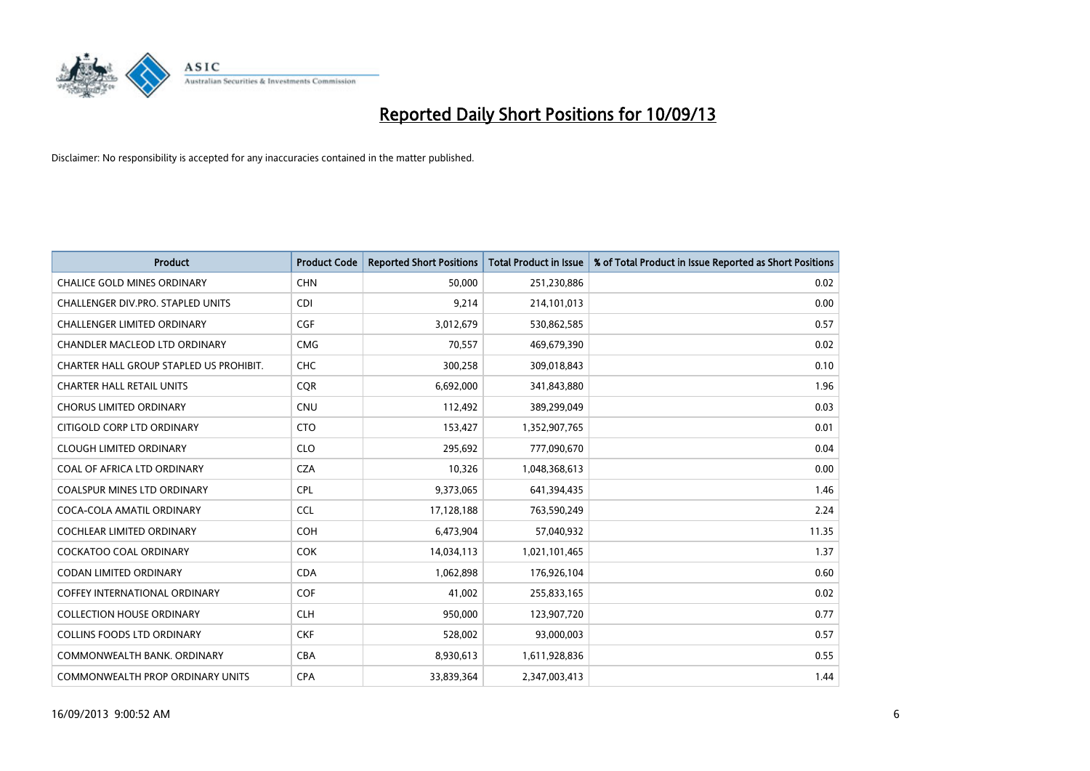

| <b>Product</b>                          | <b>Product Code</b> | <b>Reported Short Positions</b> | <b>Total Product in Issue</b> | % of Total Product in Issue Reported as Short Positions |
|-----------------------------------------|---------------------|---------------------------------|-------------------------------|---------------------------------------------------------|
| <b>CHALICE GOLD MINES ORDINARY</b>      | <b>CHN</b>          | 50,000                          | 251,230,886                   | 0.02                                                    |
| CHALLENGER DIV.PRO. STAPLED UNITS       | <b>CDI</b>          | 9,214                           | 214,101,013                   | 0.00                                                    |
| <b>CHALLENGER LIMITED ORDINARY</b>      | <b>CGF</b>          | 3,012,679                       | 530,862,585                   | 0.57                                                    |
| CHANDLER MACLEOD LTD ORDINARY           | <b>CMG</b>          | 70,557                          | 469,679,390                   | 0.02                                                    |
| CHARTER HALL GROUP STAPLED US PROHIBIT. | <b>CHC</b>          | 300,258                         | 309,018,843                   | 0.10                                                    |
| <b>CHARTER HALL RETAIL UNITS</b>        | CQR                 | 6,692,000                       | 341,843,880                   | 1.96                                                    |
| <b>CHORUS LIMITED ORDINARY</b>          | <b>CNU</b>          | 112,492                         | 389,299,049                   | 0.03                                                    |
| CITIGOLD CORP LTD ORDINARY              | <b>CTO</b>          | 153,427                         | 1,352,907,765                 | 0.01                                                    |
| <b>CLOUGH LIMITED ORDINARY</b>          | <b>CLO</b>          | 295,692                         | 777,090,670                   | 0.04                                                    |
| COAL OF AFRICA LTD ORDINARY             | <b>CZA</b>          | 10,326                          | 1,048,368,613                 | 0.00                                                    |
| COALSPUR MINES LTD ORDINARY             | <b>CPL</b>          | 9,373,065                       | 641,394,435                   | 1.46                                                    |
| COCA-COLA AMATIL ORDINARY               | <b>CCL</b>          | 17,128,188                      | 763,590,249                   | 2.24                                                    |
| <b>COCHLEAR LIMITED ORDINARY</b>        | <b>COH</b>          | 6,473,904                       | 57,040,932                    | 11.35                                                   |
| <b>COCKATOO COAL ORDINARY</b>           | <b>COK</b>          | 14,034,113                      | 1,021,101,465                 | 1.37                                                    |
| <b>CODAN LIMITED ORDINARY</b>           | <b>CDA</b>          | 1,062,898                       | 176,926,104                   | 0.60                                                    |
| COFFEY INTERNATIONAL ORDINARY           | <b>COF</b>          | 41,002                          | 255,833,165                   | 0.02                                                    |
| <b>COLLECTION HOUSE ORDINARY</b>        | <b>CLH</b>          | 950,000                         | 123,907,720                   | 0.77                                                    |
| <b>COLLINS FOODS LTD ORDINARY</b>       | <b>CKF</b>          | 528,002                         | 93,000,003                    | 0.57                                                    |
| COMMONWEALTH BANK, ORDINARY             | <b>CBA</b>          | 8,930,613                       | 1,611,928,836                 | 0.55                                                    |
| COMMONWEALTH PROP ORDINARY UNITS        | <b>CPA</b>          | 33,839,364                      | 2,347,003,413                 | 1.44                                                    |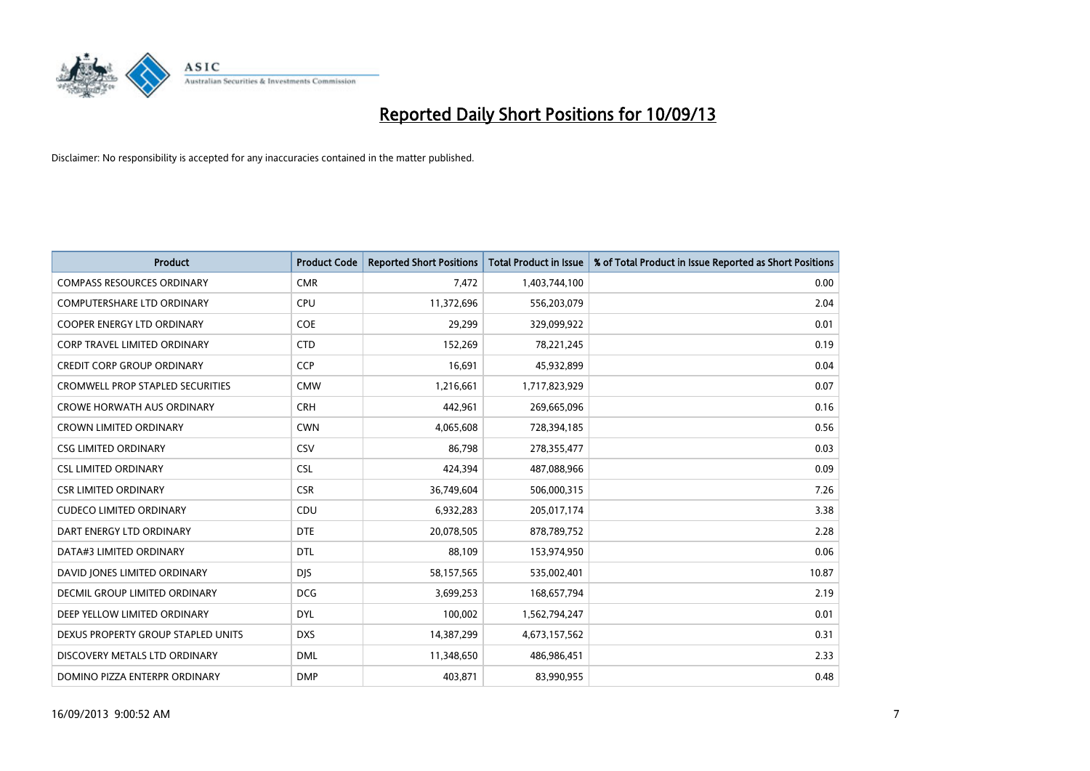

| <b>Product</b>                          | <b>Product Code</b> | <b>Reported Short Positions</b> | <b>Total Product in Issue</b> | % of Total Product in Issue Reported as Short Positions |
|-----------------------------------------|---------------------|---------------------------------|-------------------------------|---------------------------------------------------------|
| <b>COMPASS RESOURCES ORDINARY</b>       | <b>CMR</b>          | 7,472                           | 1,403,744,100                 | 0.00                                                    |
| COMPUTERSHARE LTD ORDINARY              | <b>CPU</b>          | 11,372,696                      | 556,203,079                   | 2.04                                                    |
| COOPER ENERGY LTD ORDINARY              | <b>COE</b>          | 29,299                          | 329,099,922                   | 0.01                                                    |
| <b>CORP TRAVEL LIMITED ORDINARY</b>     | <b>CTD</b>          | 152,269                         | 78,221,245                    | 0.19                                                    |
| <b>CREDIT CORP GROUP ORDINARY</b>       | <b>CCP</b>          | 16,691                          | 45,932,899                    | 0.04                                                    |
| <b>CROMWELL PROP STAPLED SECURITIES</b> | <b>CMW</b>          | 1,216,661                       | 1,717,823,929                 | 0.07                                                    |
| <b>CROWE HORWATH AUS ORDINARY</b>       | <b>CRH</b>          | 442,961                         | 269,665,096                   | 0.16                                                    |
| <b>CROWN LIMITED ORDINARY</b>           | <b>CWN</b>          | 4,065,608                       | 728,394,185                   | 0.56                                                    |
| <b>CSG LIMITED ORDINARY</b>             | CSV                 | 86,798                          | 278,355,477                   | 0.03                                                    |
| <b>CSL LIMITED ORDINARY</b>             | <b>CSL</b>          | 424,394                         | 487,088,966                   | 0.09                                                    |
| <b>CSR LIMITED ORDINARY</b>             | <b>CSR</b>          | 36,749,604                      | 506,000,315                   | 7.26                                                    |
| <b>CUDECO LIMITED ORDINARY</b>          | CDU                 | 6,932,283                       | 205,017,174                   | 3.38                                                    |
| DART ENERGY LTD ORDINARY                | <b>DTE</b>          | 20,078,505                      | 878,789,752                   | 2.28                                                    |
| DATA#3 LIMITED ORDINARY                 | <b>DTL</b>          | 88,109                          | 153,974,950                   | 0.06                                                    |
| DAVID JONES LIMITED ORDINARY            | <b>DJS</b>          | 58,157,565                      | 535,002,401                   | 10.87                                                   |
| <b>DECMIL GROUP LIMITED ORDINARY</b>    | <b>DCG</b>          | 3,699,253                       | 168,657,794                   | 2.19                                                    |
| DEEP YELLOW LIMITED ORDINARY            | <b>DYL</b>          | 100,002                         | 1,562,794,247                 | 0.01                                                    |
| DEXUS PROPERTY GROUP STAPLED UNITS      | <b>DXS</b>          | 14,387,299                      | 4,673,157,562                 | 0.31                                                    |
| DISCOVERY METALS LTD ORDINARY           | <b>DML</b>          | 11,348,650                      | 486,986,451                   | 2.33                                                    |
| DOMINO PIZZA ENTERPR ORDINARY           | <b>DMP</b>          | 403,871                         | 83,990,955                    | 0.48                                                    |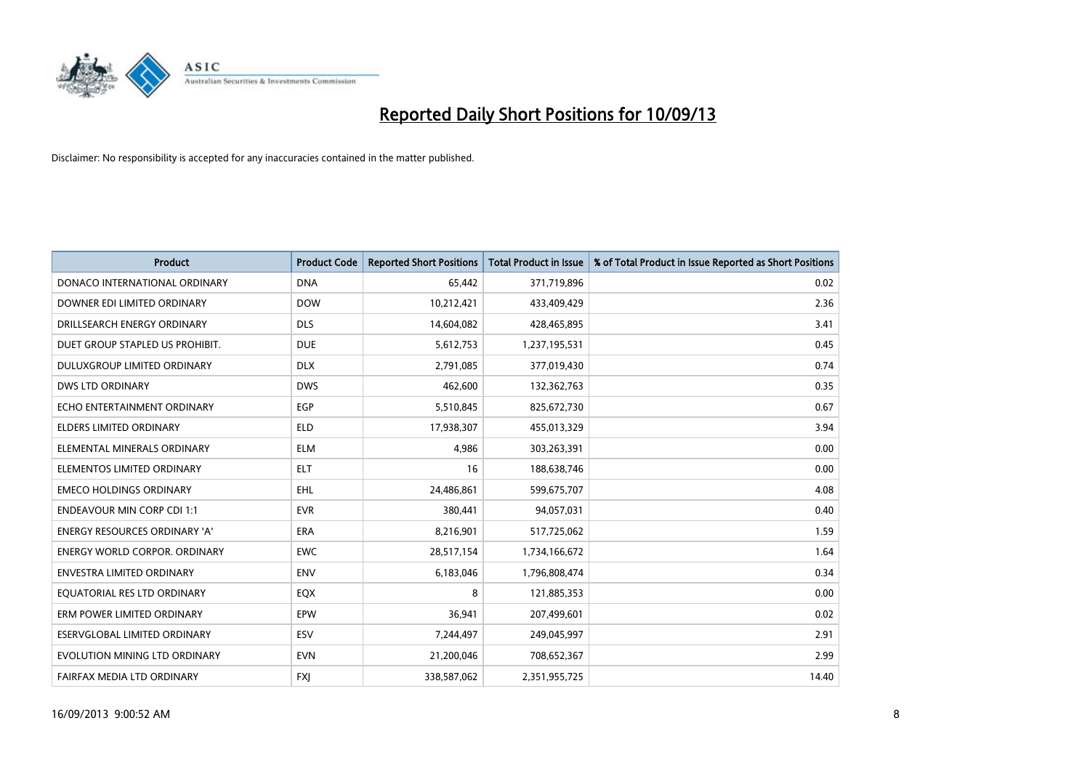

| <b>Product</b>                       | <b>Product Code</b> | <b>Reported Short Positions</b> | <b>Total Product in Issue</b> | % of Total Product in Issue Reported as Short Positions |
|--------------------------------------|---------------------|---------------------------------|-------------------------------|---------------------------------------------------------|
| DONACO INTERNATIONAL ORDINARY        | <b>DNA</b>          | 65,442                          | 371,719,896                   | 0.02                                                    |
| DOWNER EDI LIMITED ORDINARY          | <b>DOW</b>          | 10,212,421                      | 433,409,429                   | 2.36                                                    |
| DRILLSEARCH ENERGY ORDINARY          | <b>DLS</b>          | 14,604,082                      | 428,465,895                   | 3.41                                                    |
| DUET GROUP STAPLED US PROHIBIT.      | <b>DUE</b>          | 5,612,753                       | 1,237,195,531                 | 0.45                                                    |
| DULUXGROUP LIMITED ORDINARY          | <b>DLX</b>          | 2,791,085                       | 377,019,430                   | 0.74                                                    |
| <b>DWS LTD ORDINARY</b>              | <b>DWS</b>          | 462,600                         | 132,362,763                   | 0.35                                                    |
| ECHO ENTERTAINMENT ORDINARY          | <b>EGP</b>          | 5,510,845                       | 825,672,730                   | 0.67                                                    |
| <b>ELDERS LIMITED ORDINARY</b>       | <b>ELD</b>          | 17,938,307                      | 455,013,329                   | 3.94                                                    |
| ELEMENTAL MINERALS ORDINARY          | <b>ELM</b>          | 4,986                           | 303,263,391                   | 0.00                                                    |
| ELEMENTOS LIMITED ORDINARY           | <b>ELT</b>          | 16                              | 188,638,746                   | 0.00                                                    |
| <b>EMECO HOLDINGS ORDINARY</b>       | <b>EHL</b>          | 24,486,861                      | 599,675,707                   | 4.08                                                    |
| <b>ENDEAVOUR MIN CORP CDI 1:1</b>    | <b>EVR</b>          | 380,441                         | 94,057,031                    | 0.40                                                    |
| ENERGY RESOURCES ORDINARY 'A'        | <b>ERA</b>          | 8,216,901                       | 517,725,062                   | 1.59                                                    |
| <b>ENERGY WORLD CORPOR, ORDINARY</b> | <b>EWC</b>          | 28,517,154                      | 1,734,166,672                 | 1.64                                                    |
| <b>ENVESTRA LIMITED ORDINARY</b>     | <b>ENV</b>          | 6,183,046                       | 1,796,808,474                 | 0.34                                                    |
| EQUATORIAL RES LTD ORDINARY          | EQX                 | 8                               | 121,885,353                   | 0.00                                                    |
| ERM POWER LIMITED ORDINARY           | EPW                 | 36,941                          | 207,499,601                   | 0.02                                                    |
| ESERVGLOBAL LIMITED ORDINARY         | ESV                 | 7,244,497                       | 249,045,997                   | 2.91                                                    |
| EVOLUTION MINING LTD ORDINARY        | <b>EVN</b>          | 21,200,046                      | 708,652,367                   | 2.99                                                    |
| FAIRFAX MEDIA LTD ORDINARY           | <b>FXJ</b>          | 338,587,062                     | 2,351,955,725                 | 14.40                                                   |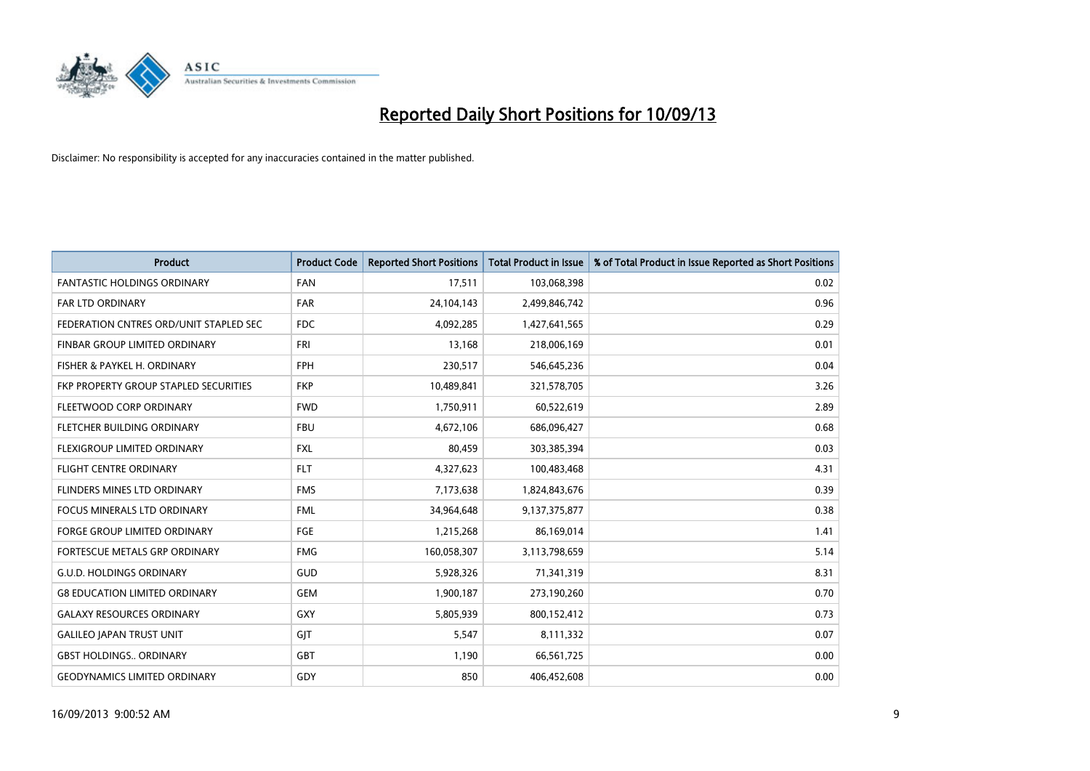

| <b>Product</b>                         | <b>Product Code</b> | <b>Reported Short Positions</b> | <b>Total Product in Issue</b> | % of Total Product in Issue Reported as Short Positions |
|----------------------------------------|---------------------|---------------------------------|-------------------------------|---------------------------------------------------------|
| <b>FANTASTIC HOLDINGS ORDINARY</b>     | <b>FAN</b>          | 17,511                          | 103,068,398                   | 0.02                                                    |
| FAR LTD ORDINARY                       | FAR                 | 24,104,143                      | 2,499,846,742                 | 0.96                                                    |
| FEDERATION CNTRES ORD/UNIT STAPLED SEC | <b>FDC</b>          | 4,092,285                       | 1,427,641,565                 | 0.29                                                    |
| FINBAR GROUP LIMITED ORDINARY          | <b>FRI</b>          | 13,168                          | 218,006,169                   | 0.01                                                    |
| FISHER & PAYKEL H. ORDINARY            | <b>FPH</b>          | 230,517                         | 546,645,236                   | 0.04                                                    |
| FKP PROPERTY GROUP STAPLED SECURITIES  | <b>FKP</b>          | 10,489,841                      | 321,578,705                   | 3.26                                                    |
| FLEETWOOD CORP ORDINARY                | <b>FWD</b>          | 1,750,911                       | 60,522,619                    | 2.89                                                    |
| FLETCHER BUILDING ORDINARY             | <b>FBU</b>          | 4,672,106                       | 686,096,427                   | 0.68                                                    |
| FLEXIGROUP LIMITED ORDINARY            | <b>FXL</b>          | 80,459                          | 303,385,394                   | 0.03                                                    |
| <b>FLIGHT CENTRE ORDINARY</b>          | <b>FLT</b>          | 4,327,623                       | 100,483,468                   | 4.31                                                    |
| FLINDERS MINES LTD ORDINARY            | <b>FMS</b>          | 7,173,638                       | 1,824,843,676                 | 0.39                                                    |
| <b>FOCUS MINERALS LTD ORDINARY</b>     | <b>FML</b>          | 34,964,648                      | 9,137,375,877                 | 0.38                                                    |
| FORGE GROUP LIMITED ORDINARY           | FGE                 | 1,215,268                       | 86,169,014                    | 1.41                                                    |
| FORTESCUE METALS GRP ORDINARY          | <b>FMG</b>          | 160,058,307                     | 3,113,798,659                 | 5.14                                                    |
| <b>G.U.D. HOLDINGS ORDINARY</b>        | <b>GUD</b>          | 5,928,326                       | 71,341,319                    | 8.31                                                    |
| <b>G8 EDUCATION LIMITED ORDINARY</b>   | <b>GEM</b>          | 1,900,187                       | 273,190,260                   | 0.70                                                    |
| <b>GALAXY RESOURCES ORDINARY</b>       | GXY                 | 5,805,939                       | 800,152,412                   | 0.73                                                    |
| <b>GALILEO JAPAN TRUST UNIT</b>        | GJT                 | 5,547                           | 8,111,332                     | 0.07                                                    |
| <b>GBST HOLDINGS., ORDINARY</b>        | GBT                 | 1,190                           | 66,561,725                    | 0.00                                                    |
| <b>GEODYNAMICS LIMITED ORDINARY</b>    | GDY                 | 850                             | 406,452,608                   | 0.00                                                    |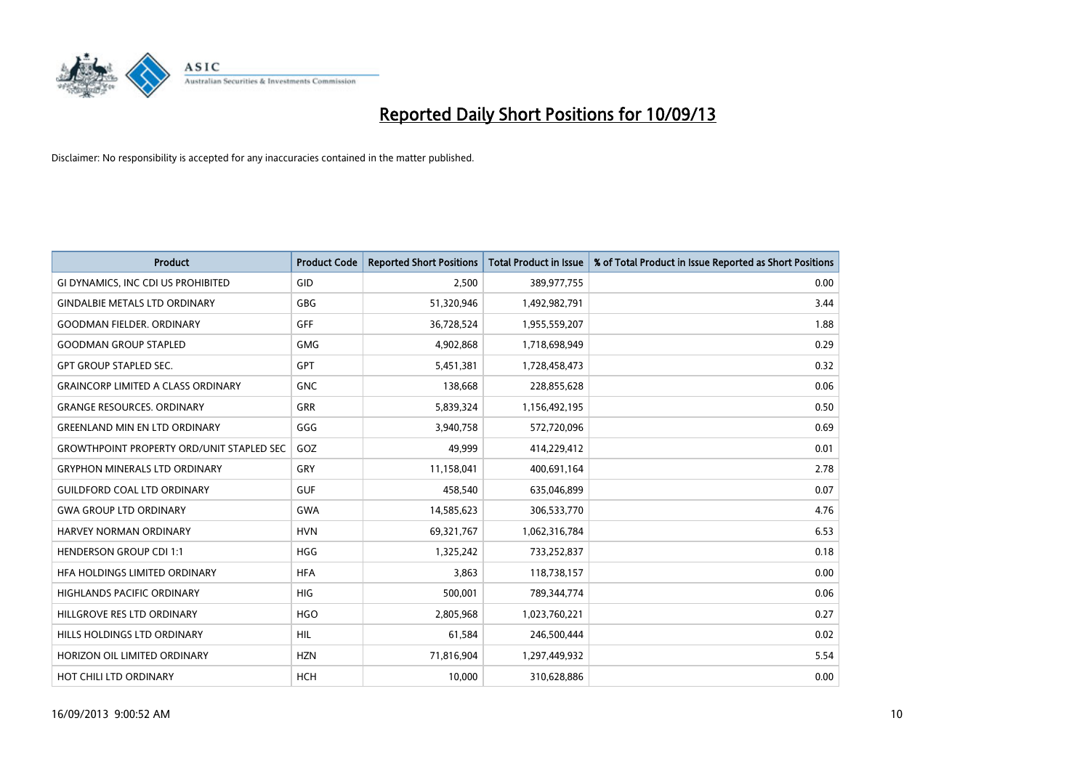

| Product                                          | <b>Product Code</b> | <b>Reported Short Positions</b> | <b>Total Product in Issue</b> | % of Total Product in Issue Reported as Short Positions |
|--------------------------------------------------|---------------------|---------------------------------|-------------------------------|---------------------------------------------------------|
| GI DYNAMICS, INC CDI US PROHIBITED               | GID                 | 2,500                           | 389,977,755                   | 0.00                                                    |
| <b>GINDALBIE METALS LTD ORDINARY</b>             | GBG                 | 51,320,946                      | 1,492,982,791                 | 3.44                                                    |
| <b>GOODMAN FIELDER, ORDINARY</b>                 | <b>GFF</b>          | 36,728,524                      | 1,955,559,207                 | 1.88                                                    |
| <b>GOODMAN GROUP STAPLED</b>                     | <b>GMG</b>          | 4,902,868                       | 1,718,698,949                 | 0.29                                                    |
| <b>GPT GROUP STAPLED SEC.</b>                    | GPT                 | 5,451,381                       | 1,728,458,473                 | 0.32                                                    |
| <b>GRAINCORP LIMITED A CLASS ORDINARY</b>        | <b>GNC</b>          | 138,668                         | 228,855,628                   | 0.06                                                    |
| <b>GRANGE RESOURCES, ORDINARY</b>                | GRR                 | 5,839,324                       | 1,156,492,195                 | 0.50                                                    |
| <b>GREENLAND MIN EN LTD ORDINARY</b>             | GGG                 | 3,940,758                       | 572,720,096                   | 0.69                                                    |
| <b>GROWTHPOINT PROPERTY ORD/UNIT STAPLED SEC</b> | GOZ                 | 49.999                          | 414,229,412                   | 0.01                                                    |
| <b>GRYPHON MINERALS LTD ORDINARY</b>             | GRY                 | 11,158,041                      | 400,691,164                   | 2.78                                                    |
| <b>GUILDFORD COAL LTD ORDINARY</b>               | <b>GUF</b>          | 458,540                         | 635,046,899                   | 0.07                                                    |
| <b>GWA GROUP LTD ORDINARY</b>                    | <b>GWA</b>          | 14,585,623                      | 306,533,770                   | 4.76                                                    |
| HARVEY NORMAN ORDINARY                           | <b>HVN</b>          | 69,321,767                      | 1,062,316,784                 | 6.53                                                    |
| <b>HENDERSON GROUP CDI 1:1</b>                   | <b>HGG</b>          | 1,325,242                       | 733,252,837                   | 0.18                                                    |
| HFA HOLDINGS LIMITED ORDINARY                    | <b>HFA</b>          | 3,863                           | 118,738,157                   | 0.00                                                    |
| HIGHLANDS PACIFIC ORDINARY                       | HIG                 | 500,001                         | 789,344,774                   | 0.06                                                    |
| HILLGROVE RES LTD ORDINARY                       | <b>HGO</b>          | 2,805,968                       | 1,023,760,221                 | 0.27                                                    |
| <b>HILLS HOLDINGS LTD ORDINARY</b>               | <b>HIL</b>          | 61,584                          | 246,500,444                   | 0.02                                                    |
| HORIZON OIL LIMITED ORDINARY                     | <b>HZN</b>          | 71,816,904                      | 1,297,449,932                 | 5.54                                                    |
| HOT CHILI LTD ORDINARY                           | HCH                 | 10,000                          | 310,628,886                   | 0.00                                                    |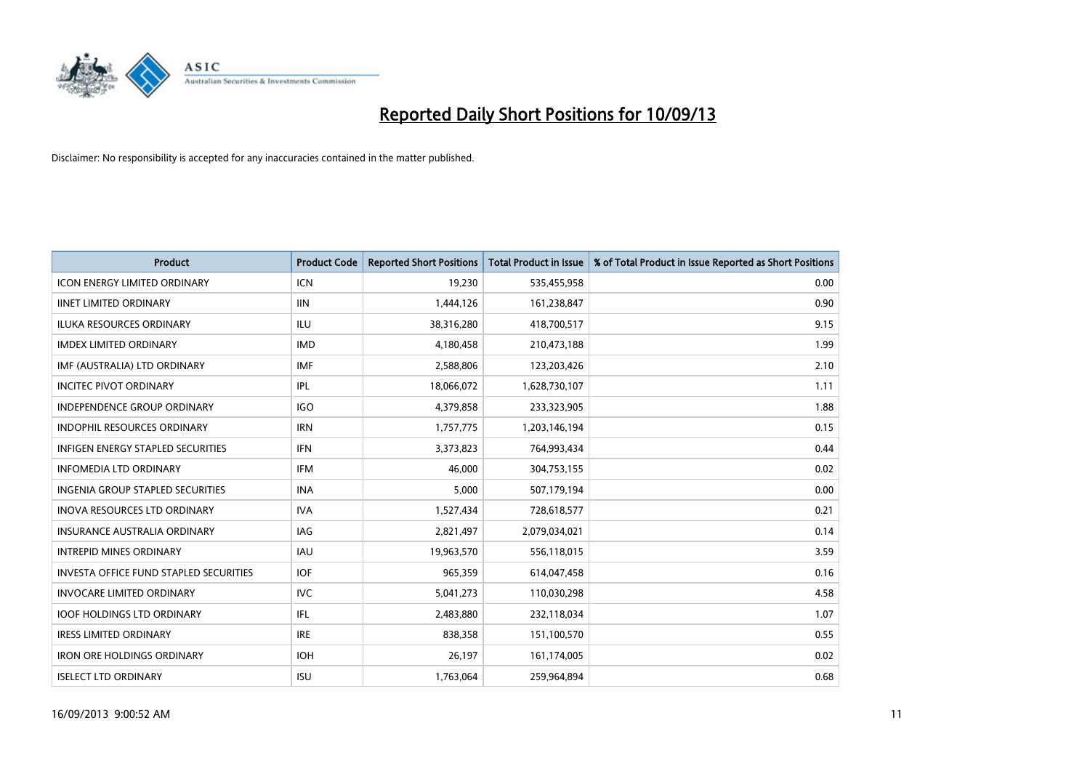

| <b>Product</b>                           | <b>Product Code</b> | <b>Reported Short Positions</b> | <b>Total Product in Issue</b> | % of Total Product in Issue Reported as Short Positions |
|------------------------------------------|---------------------|---------------------------------|-------------------------------|---------------------------------------------------------|
| <b>ICON ENERGY LIMITED ORDINARY</b>      | <b>ICN</b>          | 19,230                          | 535,455,958                   | 0.00                                                    |
| <b>IINET LIMITED ORDINARY</b>            | <b>IIN</b>          | 1,444,126                       | 161,238,847                   | 0.90                                                    |
| <b>ILUKA RESOURCES ORDINARY</b>          | ILU                 | 38,316,280                      | 418,700,517                   | 9.15                                                    |
| <b>IMDEX LIMITED ORDINARY</b>            | <b>IMD</b>          | 4,180,458                       | 210,473,188                   | 1.99                                                    |
| IMF (AUSTRALIA) LTD ORDINARY             | <b>IMF</b>          | 2,588,806                       | 123,203,426                   | 2.10                                                    |
| <b>INCITEC PIVOT ORDINARY</b>            | IPL                 | 18,066,072                      | 1,628,730,107                 | 1.11                                                    |
| <b>INDEPENDENCE GROUP ORDINARY</b>       | IGO                 | 4,379,858                       | 233,323,905                   | 1.88                                                    |
| INDOPHIL RESOURCES ORDINARY              | <b>IRN</b>          | 1,757,775                       | 1,203,146,194                 | 0.15                                                    |
| <b>INFIGEN ENERGY STAPLED SECURITIES</b> | <b>IFN</b>          | 3,373,823                       | 764,993,434                   | 0.44                                                    |
| <b>INFOMEDIA LTD ORDINARY</b>            | IFM                 | 46,000                          | 304,753,155                   | 0.02                                                    |
| <b>INGENIA GROUP STAPLED SECURITIES</b>  | <b>INA</b>          | 5,000                           | 507,179,194                   | 0.00                                                    |
| <b>INOVA RESOURCES LTD ORDINARY</b>      | <b>IVA</b>          | 1,527,434                       | 728,618,577                   | 0.21                                                    |
| <b>INSURANCE AUSTRALIA ORDINARY</b>      | IAG                 | 2,821,497                       | 2,079,034,021                 | 0.14                                                    |
| <b>INTREPID MINES ORDINARY</b>           | <b>IAU</b>          | 19,963,570                      | 556,118,015                   | 3.59                                                    |
| INVESTA OFFICE FUND STAPLED SECURITIES   | <b>IOF</b>          | 965,359                         | 614,047,458                   | 0.16                                                    |
| <b>INVOCARE LIMITED ORDINARY</b>         | <b>IVC</b>          | 5,041,273                       | 110,030,298                   | 4.58                                                    |
| <b>IOOF HOLDINGS LTD ORDINARY</b>        | IFL                 | 2,483,880                       | 232,118,034                   | 1.07                                                    |
| <b>IRESS LIMITED ORDINARY</b>            | <b>IRE</b>          | 838,358                         | 151,100,570                   | 0.55                                                    |
| <b>IRON ORE HOLDINGS ORDINARY</b>        | <b>IOH</b>          | 26,197                          | 161,174,005                   | 0.02                                                    |
| <b>ISELECT LTD ORDINARY</b>              | <b>ISU</b>          | 1,763,064                       | 259,964,894                   | 0.68                                                    |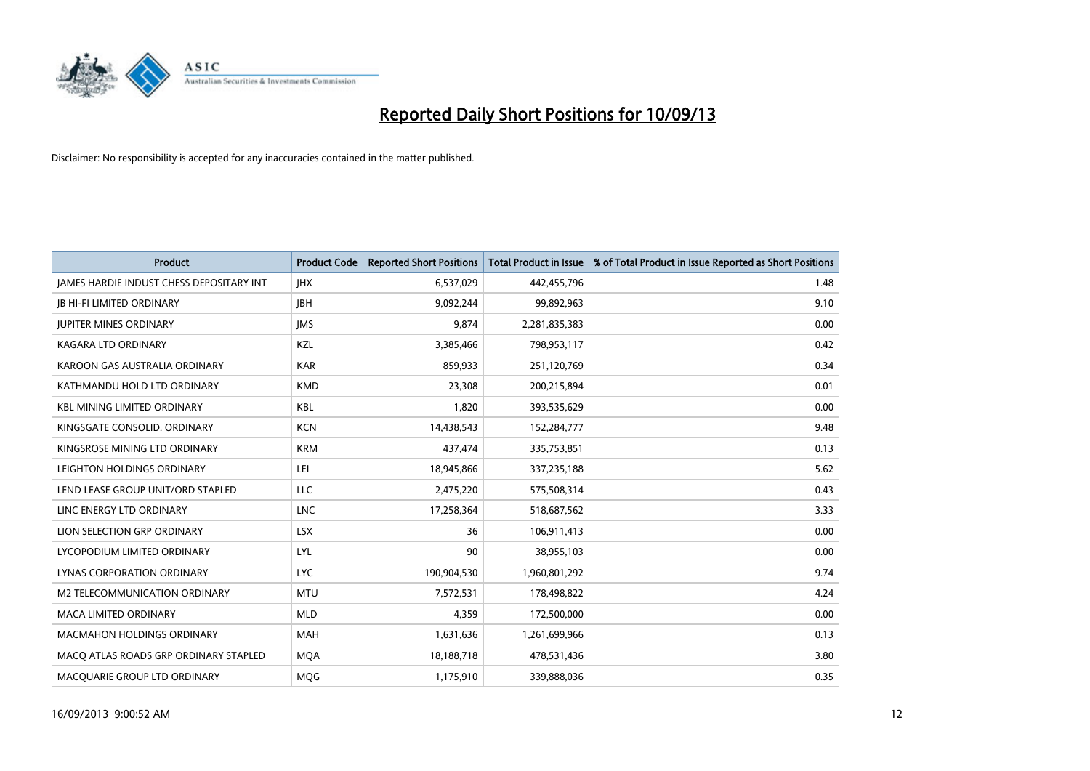

| <b>Product</b>                                  | <b>Product Code</b> | <b>Reported Short Positions</b> | <b>Total Product in Issue</b> | % of Total Product in Issue Reported as Short Positions |
|-------------------------------------------------|---------------------|---------------------------------|-------------------------------|---------------------------------------------------------|
| <b>IAMES HARDIE INDUST CHESS DEPOSITARY INT</b> | <b>IHX</b>          | 6,537,029                       | 442,455,796                   | 1.48                                                    |
| <b>JB HI-FI LIMITED ORDINARY</b>                | <b>JBH</b>          | 9,092,244                       | 99,892,963                    | 9.10                                                    |
| <b>JUPITER MINES ORDINARY</b>                   | <b>IMS</b>          | 9,874                           | 2,281,835,383                 | 0.00                                                    |
| KAGARA LTD ORDINARY                             | KZL                 | 3,385,466                       | 798,953,117                   | 0.42                                                    |
| KAROON GAS AUSTRALIA ORDINARY                   | <b>KAR</b>          | 859,933                         | 251,120,769                   | 0.34                                                    |
| KATHMANDU HOLD LTD ORDINARY                     | <b>KMD</b>          | 23,308                          | 200,215,894                   | 0.01                                                    |
| <b>KBL MINING LIMITED ORDINARY</b>              | <b>KBL</b>          | 1,820                           | 393,535,629                   | 0.00                                                    |
| KINGSGATE CONSOLID. ORDINARY                    | <b>KCN</b>          | 14,438,543                      | 152,284,777                   | 9.48                                                    |
| KINGSROSE MINING LTD ORDINARY                   | <b>KRM</b>          | 437,474                         | 335,753,851                   | 0.13                                                    |
| LEIGHTON HOLDINGS ORDINARY                      | LEI                 | 18,945,866                      | 337,235,188                   | 5.62                                                    |
| LEND LEASE GROUP UNIT/ORD STAPLED               | <b>LLC</b>          | 2,475,220                       | 575,508,314                   | 0.43                                                    |
| LINC ENERGY LTD ORDINARY                        | <b>LNC</b>          | 17,258,364                      | 518,687,562                   | 3.33                                                    |
| LION SELECTION GRP ORDINARY                     | <b>LSX</b>          | 36                              | 106,911,413                   | 0.00                                                    |
| LYCOPODIUM LIMITED ORDINARY                     | <b>LYL</b>          | 90                              | 38,955,103                    | 0.00                                                    |
| LYNAS CORPORATION ORDINARY                      | <b>LYC</b>          | 190,904,530                     | 1,960,801,292                 | 9.74                                                    |
| <b>M2 TELECOMMUNICATION ORDINARY</b>            | <b>MTU</b>          | 7,572,531                       | 178,498,822                   | 4.24                                                    |
| MACA LIMITED ORDINARY                           | <b>MLD</b>          | 4,359                           | 172,500,000                   | 0.00                                                    |
| <b>MACMAHON HOLDINGS ORDINARY</b>               | <b>MAH</b>          | 1,631,636                       | 1,261,699,966                 | 0.13                                                    |
| MACO ATLAS ROADS GRP ORDINARY STAPLED           | <b>MOA</b>          | 18,188,718                      | 478,531,436                   | 3.80                                                    |
| MACQUARIE GROUP LTD ORDINARY                    | <b>MOG</b>          | 1,175,910                       | 339,888,036                   | 0.35                                                    |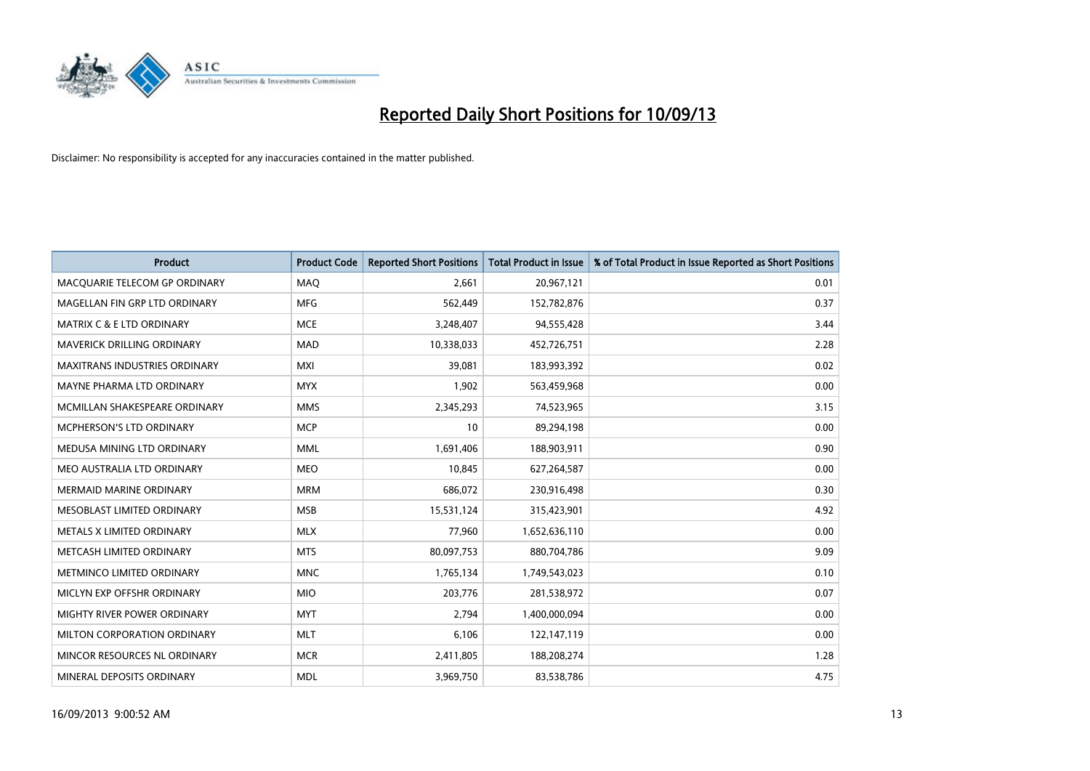

| <b>Product</b>                       | <b>Product Code</b> | <b>Reported Short Positions</b> | <b>Total Product in Issue</b> | % of Total Product in Issue Reported as Short Positions |
|--------------------------------------|---------------------|---------------------------------|-------------------------------|---------------------------------------------------------|
| MACQUARIE TELECOM GP ORDINARY        | MAQ                 | 2,661                           | 20,967,121                    | 0.01                                                    |
| MAGELLAN FIN GRP LTD ORDINARY        | <b>MFG</b>          | 562,449                         | 152,782,876                   | 0.37                                                    |
| <b>MATRIX C &amp; E LTD ORDINARY</b> | <b>MCE</b>          | 3,248,407                       | 94,555,428                    | 3.44                                                    |
| MAVERICK DRILLING ORDINARY           | <b>MAD</b>          | 10,338,033                      | 452,726,751                   | 2.28                                                    |
| <b>MAXITRANS INDUSTRIES ORDINARY</b> | <b>MXI</b>          | 39,081                          | 183,993,392                   | 0.02                                                    |
| MAYNE PHARMA LTD ORDINARY            | <b>MYX</b>          | 1,902                           | 563,459,968                   | 0.00                                                    |
| MCMILLAN SHAKESPEARE ORDINARY        | <b>MMS</b>          | 2,345,293                       | 74,523,965                    | 3.15                                                    |
| <b>MCPHERSON'S LTD ORDINARY</b>      | <b>MCP</b>          | 10                              | 89,294,198                    | 0.00                                                    |
| MEDUSA MINING LTD ORDINARY           | <b>MML</b>          | 1,691,406                       | 188,903,911                   | 0.90                                                    |
| MEO AUSTRALIA LTD ORDINARY           | <b>MEO</b>          | 10,845                          | 627,264,587                   | 0.00                                                    |
| MERMAID MARINE ORDINARY              | <b>MRM</b>          | 686,072                         | 230,916,498                   | 0.30                                                    |
| MESOBLAST LIMITED ORDINARY           | <b>MSB</b>          | 15,531,124                      | 315,423,901                   | 4.92                                                    |
| METALS X LIMITED ORDINARY            | <b>MLX</b>          | 77,960                          | 1,652,636,110                 | 0.00                                                    |
| METCASH LIMITED ORDINARY             | <b>MTS</b>          | 80,097,753                      | 880,704,786                   | 9.09                                                    |
| METMINCO LIMITED ORDINARY            | <b>MNC</b>          | 1,765,134                       | 1,749,543,023                 | 0.10                                                    |
| MICLYN EXP OFFSHR ORDINARY           | <b>MIO</b>          | 203,776                         | 281,538,972                   | 0.07                                                    |
| MIGHTY RIVER POWER ORDINARY          | <b>MYT</b>          | 2,794                           | 1,400,000,094                 | 0.00                                                    |
| MILTON CORPORATION ORDINARY          | <b>MLT</b>          | 6,106                           | 122,147,119                   | 0.00                                                    |
| MINCOR RESOURCES NL ORDINARY         | <b>MCR</b>          | 2,411,805                       | 188,208,274                   | 1.28                                                    |
| MINERAL DEPOSITS ORDINARY            | <b>MDL</b>          | 3,969,750                       | 83,538,786                    | 4.75                                                    |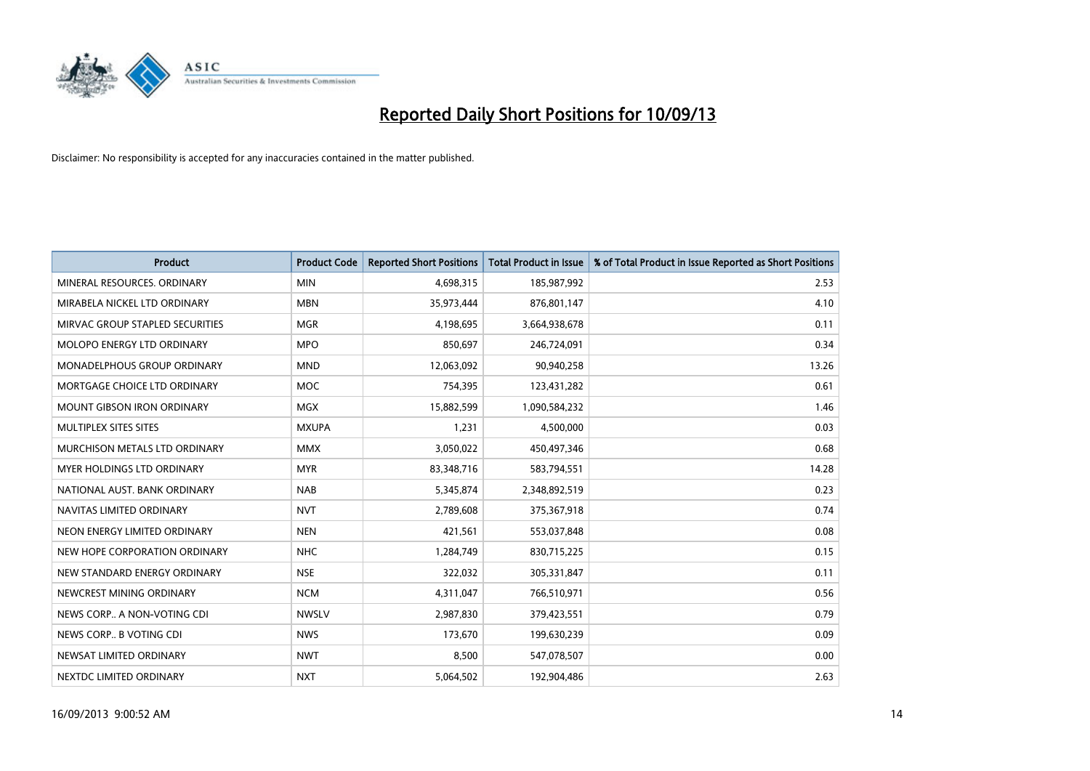

| <b>Product</b>                    | <b>Product Code</b> | <b>Reported Short Positions</b> | <b>Total Product in Issue</b> | % of Total Product in Issue Reported as Short Positions |
|-----------------------------------|---------------------|---------------------------------|-------------------------------|---------------------------------------------------------|
| MINERAL RESOURCES, ORDINARY       | <b>MIN</b>          | 4,698,315                       | 185,987,992                   | 2.53                                                    |
| MIRABELA NICKEL LTD ORDINARY      | <b>MBN</b>          | 35,973,444                      | 876,801,147                   | 4.10                                                    |
| MIRVAC GROUP STAPLED SECURITIES   | <b>MGR</b>          | 4,198,695                       | 3,664,938,678                 | 0.11                                                    |
| MOLOPO ENERGY LTD ORDINARY        | <b>MPO</b>          | 850,697                         | 246,724,091                   | 0.34                                                    |
| MONADELPHOUS GROUP ORDINARY       | <b>MND</b>          | 12,063,092                      | 90,940,258                    | 13.26                                                   |
| MORTGAGE CHOICE LTD ORDINARY      | <b>MOC</b>          | 754,395                         | 123,431,282                   | 0.61                                                    |
| <b>MOUNT GIBSON IRON ORDINARY</b> | <b>MGX</b>          | 15,882,599                      | 1,090,584,232                 | 1.46                                                    |
| MULTIPLEX SITES SITES             | <b>MXUPA</b>        | 1,231                           | 4,500,000                     | 0.03                                                    |
| MURCHISON METALS LTD ORDINARY     | <b>MMX</b>          | 3,050,022                       | 450,497,346                   | 0.68                                                    |
| MYER HOLDINGS LTD ORDINARY        | <b>MYR</b>          | 83,348,716                      | 583,794,551                   | 14.28                                                   |
| NATIONAL AUST. BANK ORDINARY      | <b>NAB</b>          | 5,345,874                       | 2,348,892,519                 | 0.23                                                    |
| NAVITAS LIMITED ORDINARY          | <b>NVT</b>          | 2,789,608                       | 375,367,918                   | 0.74                                                    |
| NEON ENERGY LIMITED ORDINARY      | <b>NEN</b>          | 421,561                         | 553,037,848                   | 0.08                                                    |
| NEW HOPE CORPORATION ORDINARY     | <b>NHC</b>          | 1,284,749                       | 830,715,225                   | 0.15                                                    |
| NEW STANDARD ENERGY ORDINARY      | <b>NSE</b>          | 322,032                         | 305,331,847                   | 0.11                                                    |
| NEWCREST MINING ORDINARY          | <b>NCM</b>          | 4,311,047                       | 766,510,971                   | 0.56                                                    |
| NEWS CORP A NON-VOTING CDI        | <b>NWSLV</b>        | 2,987,830                       | 379,423,551                   | 0.79                                                    |
| NEWS CORP B VOTING CDI            | <b>NWS</b>          | 173,670                         | 199,630,239                   | 0.09                                                    |
| NEWSAT LIMITED ORDINARY           | <b>NWT</b>          | 8,500                           | 547,078,507                   | 0.00                                                    |
| NEXTDC LIMITED ORDINARY           | <b>NXT</b>          | 5,064,502                       | 192,904,486                   | 2.63                                                    |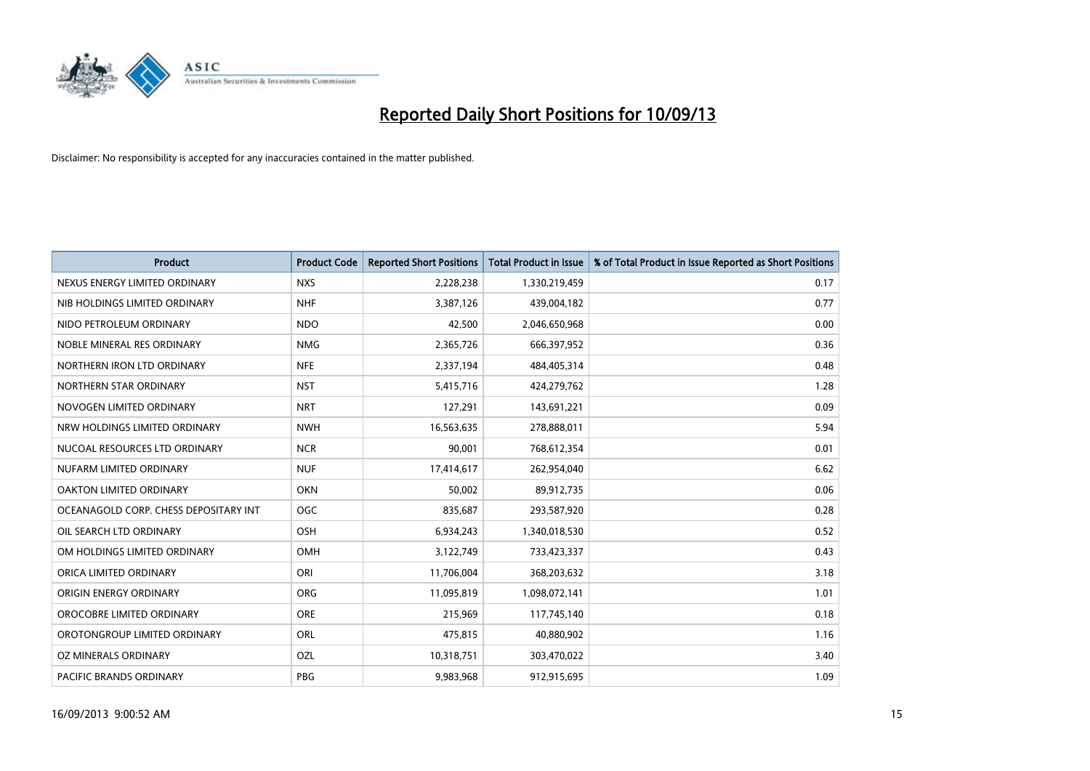

| <b>Product</b>                        | <b>Product Code</b> | <b>Reported Short Positions</b> | <b>Total Product in Issue</b> | % of Total Product in Issue Reported as Short Positions |
|---------------------------------------|---------------------|---------------------------------|-------------------------------|---------------------------------------------------------|
| NEXUS ENERGY LIMITED ORDINARY         | <b>NXS</b>          | 2,228,238                       | 1,330,219,459                 | 0.17                                                    |
| NIB HOLDINGS LIMITED ORDINARY         | <b>NHF</b>          | 3,387,126                       | 439,004,182                   | 0.77                                                    |
| NIDO PETROLEUM ORDINARY               | <b>NDO</b>          | 42,500                          | 2,046,650,968                 | 0.00                                                    |
| NOBLE MINERAL RES ORDINARY            | <b>NMG</b>          | 2,365,726                       | 666,397,952                   | 0.36                                                    |
| NORTHERN IRON LTD ORDINARY            | <b>NFE</b>          | 2,337,194                       | 484,405,314                   | 0.48                                                    |
| NORTHERN STAR ORDINARY                | <b>NST</b>          | 5,415,716                       | 424,279,762                   | 1.28                                                    |
| NOVOGEN LIMITED ORDINARY              | <b>NRT</b>          | 127,291                         | 143,691,221                   | 0.09                                                    |
| NRW HOLDINGS LIMITED ORDINARY         | <b>NWH</b>          | 16,563,635                      | 278,888,011                   | 5.94                                                    |
| NUCOAL RESOURCES LTD ORDINARY         | <b>NCR</b>          | 90.001                          | 768,612,354                   | 0.01                                                    |
| NUFARM LIMITED ORDINARY               | <b>NUF</b>          | 17,414,617                      | 262,954,040                   | 6.62                                                    |
| OAKTON LIMITED ORDINARY               | <b>OKN</b>          | 50,002                          | 89,912,735                    | 0.06                                                    |
| OCEANAGOLD CORP. CHESS DEPOSITARY INT | <b>OGC</b>          | 835,687                         | 293,587,920                   | 0.28                                                    |
| OIL SEARCH LTD ORDINARY               | OSH                 | 6,934,243                       | 1,340,018,530                 | 0.52                                                    |
| OM HOLDINGS LIMITED ORDINARY          | OMH                 | 3,122,749                       | 733,423,337                   | 0.43                                                    |
| ORICA LIMITED ORDINARY                | ORI                 | 11,706,004                      | 368,203,632                   | 3.18                                                    |
| ORIGIN ENERGY ORDINARY                | <b>ORG</b>          | 11,095,819                      | 1,098,072,141                 | 1.01                                                    |
| OROCOBRE LIMITED ORDINARY             | <b>ORE</b>          | 215,969                         | 117,745,140                   | 0.18                                                    |
| OROTONGROUP LIMITED ORDINARY          | ORL                 | 475,815                         | 40,880,902                    | 1.16                                                    |
| OZ MINERALS ORDINARY                  | OZL                 | 10,318,751                      | 303,470,022                   | 3.40                                                    |
| PACIFIC BRANDS ORDINARY               | <b>PBG</b>          | 9,983,968                       | 912,915,695                   | 1.09                                                    |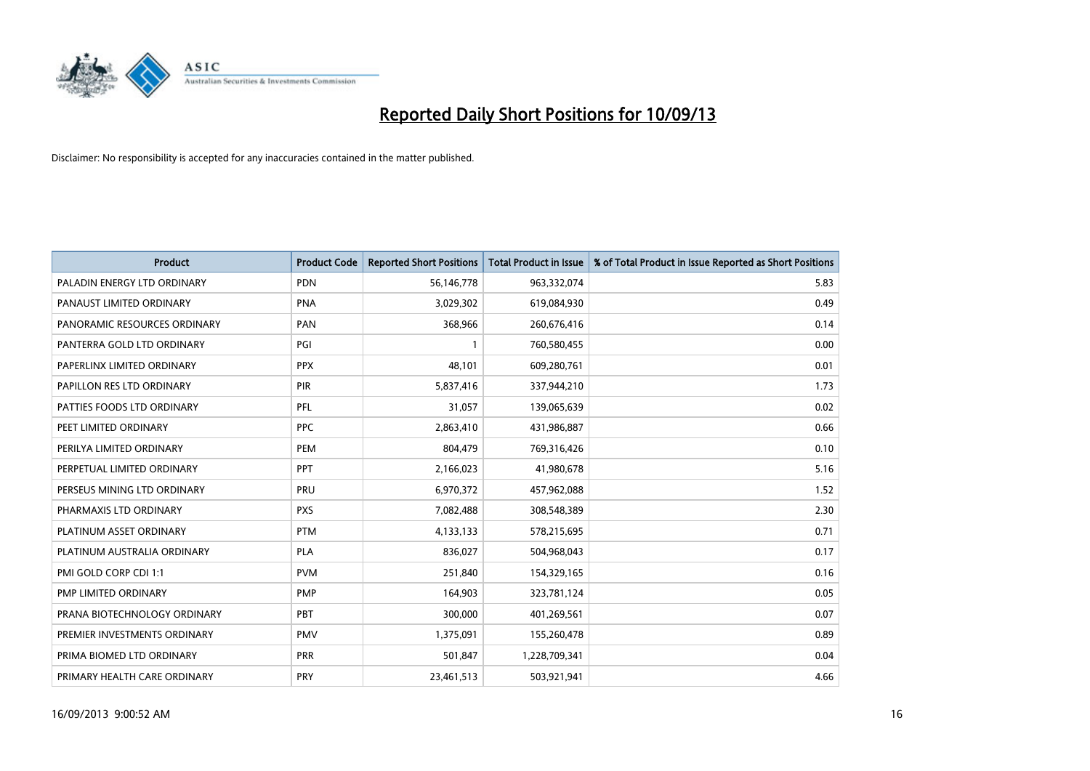

| Product                      | <b>Product Code</b> | <b>Reported Short Positions</b> | <b>Total Product in Issue</b> | % of Total Product in Issue Reported as Short Positions |
|------------------------------|---------------------|---------------------------------|-------------------------------|---------------------------------------------------------|
| PALADIN ENERGY LTD ORDINARY  | <b>PDN</b>          | 56,146,778                      | 963,332,074                   | 5.83                                                    |
| PANAUST LIMITED ORDINARY     | <b>PNA</b>          | 3,029,302                       | 619,084,930                   | 0.49                                                    |
| PANORAMIC RESOURCES ORDINARY | PAN                 | 368,966                         | 260,676,416                   | 0.14                                                    |
| PANTERRA GOLD LTD ORDINARY   | PGI                 | $\mathbf{1}$                    | 760,580,455                   | 0.00                                                    |
| PAPERLINX LIMITED ORDINARY   | <b>PPX</b>          | 48,101                          | 609,280,761                   | 0.01                                                    |
| PAPILLON RES LTD ORDINARY    | <b>PIR</b>          | 5,837,416                       | 337,944,210                   | 1.73                                                    |
| PATTIES FOODS LTD ORDINARY   | PFL                 | 31,057                          | 139,065,639                   | 0.02                                                    |
| PEET LIMITED ORDINARY        | <b>PPC</b>          | 2,863,410                       | 431,986,887                   | 0.66                                                    |
| PERILYA LIMITED ORDINARY     | <b>PEM</b>          | 804,479                         | 769,316,426                   | 0.10                                                    |
| PERPETUAL LIMITED ORDINARY   | <b>PPT</b>          | 2,166,023                       | 41,980,678                    | 5.16                                                    |
| PERSEUS MINING LTD ORDINARY  | <b>PRU</b>          | 6,970,372                       | 457,962,088                   | 1.52                                                    |
| PHARMAXIS LTD ORDINARY       | <b>PXS</b>          | 7,082,488                       | 308,548,389                   | 2.30                                                    |
| PLATINUM ASSET ORDINARY      | <b>PTM</b>          | 4,133,133                       | 578,215,695                   | 0.71                                                    |
| PLATINUM AUSTRALIA ORDINARY  | <b>PLA</b>          | 836,027                         | 504,968,043                   | 0.17                                                    |
| PMI GOLD CORP CDI 1:1        | <b>PVM</b>          | 251,840                         | 154,329,165                   | 0.16                                                    |
| PMP LIMITED ORDINARY         | <b>PMP</b>          | 164,903                         | 323,781,124                   | 0.05                                                    |
| PRANA BIOTECHNOLOGY ORDINARY | PBT                 | 300,000                         | 401,269,561                   | 0.07                                                    |
| PREMIER INVESTMENTS ORDINARY | <b>PMV</b>          | 1,375,091                       | 155,260,478                   | 0.89                                                    |
| PRIMA BIOMED LTD ORDINARY    | <b>PRR</b>          | 501,847                         | 1,228,709,341                 | 0.04                                                    |
| PRIMARY HEALTH CARE ORDINARY | <b>PRY</b>          | 23,461,513                      | 503,921,941                   | 4.66                                                    |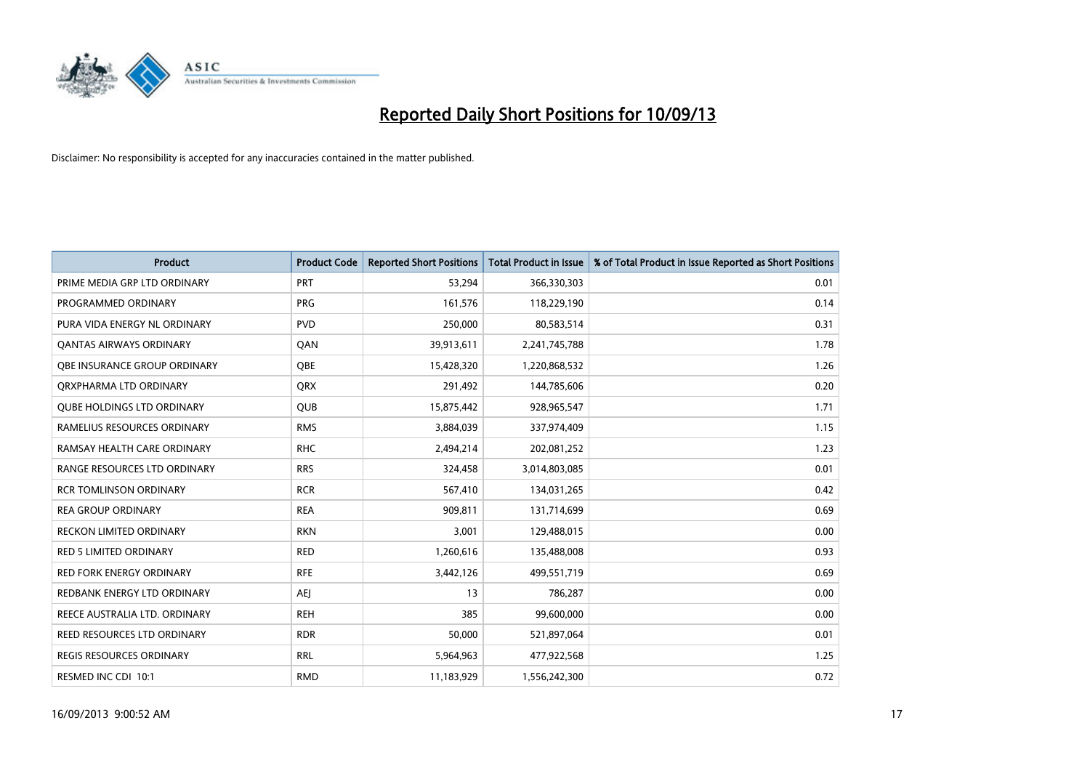

| <b>Product</b>                    | <b>Product Code</b> | <b>Reported Short Positions</b> | <b>Total Product in Issue</b> | % of Total Product in Issue Reported as Short Positions |
|-----------------------------------|---------------------|---------------------------------|-------------------------------|---------------------------------------------------------|
| PRIME MEDIA GRP LTD ORDINARY      | <b>PRT</b>          | 53,294                          | 366,330,303                   | 0.01                                                    |
| PROGRAMMED ORDINARY               | <b>PRG</b>          | 161,576                         | 118,229,190                   | 0.14                                                    |
| PURA VIDA ENERGY NL ORDINARY      | <b>PVD</b>          | 250,000                         | 80,583,514                    | 0.31                                                    |
| <b>QANTAS AIRWAYS ORDINARY</b>    | QAN                 | 39,913,611                      | 2,241,745,788                 | 1.78                                                    |
| OBE INSURANCE GROUP ORDINARY      | <b>OBE</b>          | 15,428,320                      | 1,220,868,532                 | 1.26                                                    |
| ORXPHARMA LTD ORDINARY            | <b>QRX</b>          | 291,492                         | 144,785,606                   | 0.20                                                    |
| <b>QUBE HOLDINGS LTD ORDINARY</b> | <b>QUB</b>          | 15,875,442                      | 928,965,547                   | 1.71                                                    |
| RAMELIUS RESOURCES ORDINARY       | <b>RMS</b>          | 3,884,039                       | 337,974,409                   | 1.15                                                    |
| RAMSAY HEALTH CARE ORDINARY       | <b>RHC</b>          | 2,494,214                       | 202,081,252                   | 1.23                                                    |
| RANGE RESOURCES LTD ORDINARY      | <b>RRS</b>          | 324,458                         | 3,014,803,085                 | 0.01                                                    |
| <b>RCR TOMLINSON ORDINARY</b>     | <b>RCR</b>          | 567,410                         | 134,031,265                   | 0.42                                                    |
| <b>REA GROUP ORDINARY</b>         | <b>REA</b>          | 909,811                         | 131,714,699                   | 0.69                                                    |
| RECKON LIMITED ORDINARY           | <b>RKN</b>          | 3,001                           | 129,488,015                   | 0.00                                                    |
| <b>RED 5 LIMITED ORDINARY</b>     | <b>RED</b>          | 1,260,616                       | 135,488,008                   | 0.93                                                    |
| <b>RED FORK ENERGY ORDINARY</b>   | <b>RFE</b>          | 3,442,126                       | 499,551,719                   | 0.69                                                    |
| REDBANK ENERGY LTD ORDINARY       | <b>AEI</b>          | 13                              | 786,287                       | 0.00                                                    |
| REECE AUSTRALIA LTD. ORDINARY     | <b>REH</b>          | 385                             | 99,600,000                    | 0.00                                                    |
| REED RESOURCES LTD ORDINARY       | <b>RDR</b>          | 50,000                          | 521,897,064                   | 0.01                                                    |
| <b>REGIS RESOURCES ORDINARY</b>   | <b>RRL</b>          | 5,964,963                       | 477,922,568                   | 1.25                                                    |
| RESMED INC CDI 10:1               | <b>RMD</b>          | 11,183,929                      | 1,556,242,300                 | 0.72                                                    |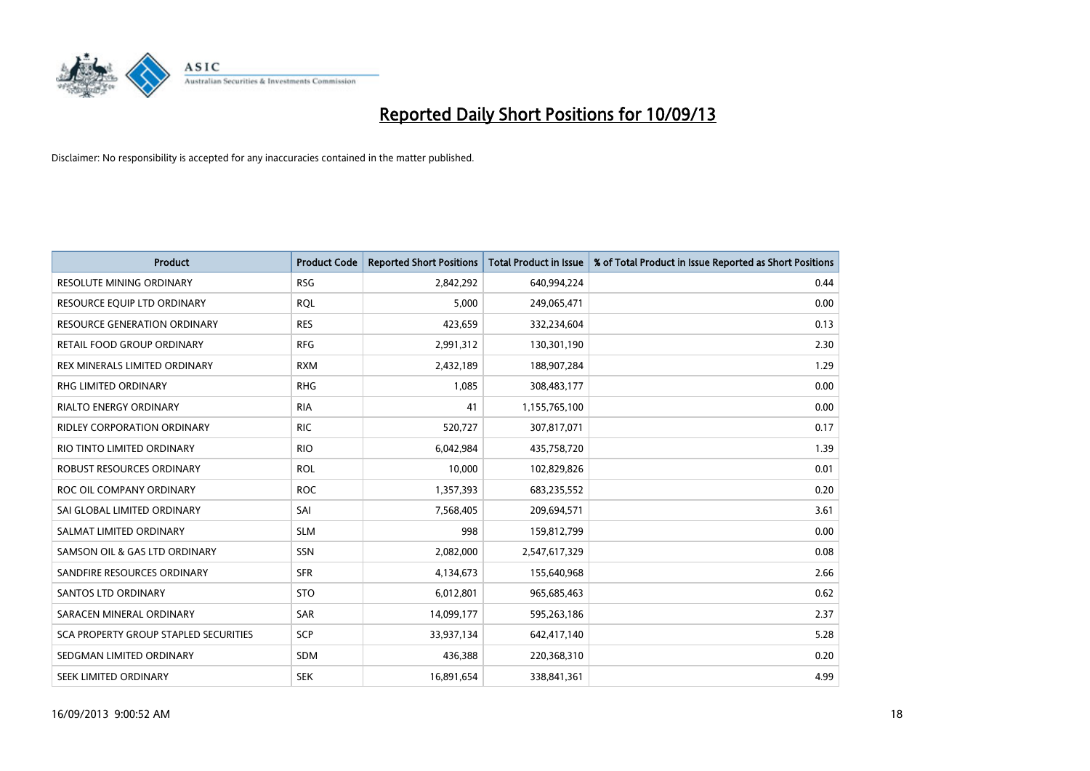

| <b>Product</b>                        | <b>Product Code</b> | <b>Reported Short Positions</b> | <b>Total Product in Issue</b> | % of Total Product in Issue Reported as Short Positions |
|---------------------------------------|---------------------|---------------------------------|-------------------------------|---------------------------------------------------------|
| RESOLUTE MINING ORDINARY              | <b>RSG</b>          | 2,842,292                       | 640,994,224                   | 0.44                                                    |
| RESOURCE EQUIP LTD ORDINARY           | <b>ROL</b>          | 5,000                           | 249,065,471                   | 0.00                                                    |
| <b>RESOURCE GENERATION ORDINARY</b>   | <b>RES</b>          | 423,659                         | 332,234,604                   | 0.13                                                    |
| RETAIL FOOD GROUP ORDINARY            | <b>RFG</b>          | 2,991,312                       | 130,301,190                   | 2.30                                                    |
| REX MINERALS LIMITED ORDINARY         | <b>RXM</b>          | 2,432,189                       | 188,907,284                   | 1.29                                                    |
| RHG LIMITED ORDINARY                  | <b>RHG</b>          | 1,085                           | 308,483,177                   | 0.00                                                    |
| <b>RIALTO ENERGY ORDINARY</b>         | <b>RIA</b>          | 41                              | 1,155,765,100                 | 0.00                                                    |
| RIDLEY CORPORATION ORDINARY           | <b>RIC</b>          | 520,727                         | 307,817,071                   | 0.17                                                    |
| RIO TINTO LIMITED ORDINARY            | <b>RIO</b>          | 6,042,984                       | 435,758,720                   | 1.39                                                    |
| ROBUST RESOURCES ORDINARY             | <b>ROL</b>          | 10,000                          | 102,829,826                   | 0.01                                                    |
| ROC OIL COMPANY ORDINARY              | <b>ROC</b>          | 1,357,393                       | 683,235,552                   | 0.20                                                    |
| SAI GLOBAL LIMITED ORDINARY           | SAI                 | 7,568,405                       | 209,694,571                   | 3.61                                                    |
| SALMAT LIMITED ORDINARY               | <b>SLM</b>          | 998                             | 159,812,799                   | 0.00                                                    |
| SAMSON OIL & GAS LTD ORDINARY         | SSN                 | 2,082,000                       | 2,547,617,329                 | 0.08                                                    |
| SANDFIRE RESOURCES ORDINARY           | <b>SFR</b>          | 4,134,673                       | 155,640,968                   | 2.66                                                    |
| <b>SANTOS LTD ORDINARY</b>            | <b>STO</b>          | 6,012,801                       | 965,685,463                   | 0.62                                                    |
| SARACEN MINERAL ORDINARY              | SAR                 | 14,099,177                      | 595,263,186                   | 2.37                                                    |
| SCA PROPERTY GROUP STAPLED SECURITIES | <b>SCP</b>          | 33,937,134                      | 642,417,140                   | 5.28                                                    |
| SEDGMAN LIMITED ORDINARY              | <b>SDM</b>          | 436,388                         | 220,368,310                   | 0.20                                                    |
| <b>SEEK LIMITED ORDINARY</b>          | <b>SEK</b>          | 16,891,654                      | 338,841,361                   | 4.99                                                    |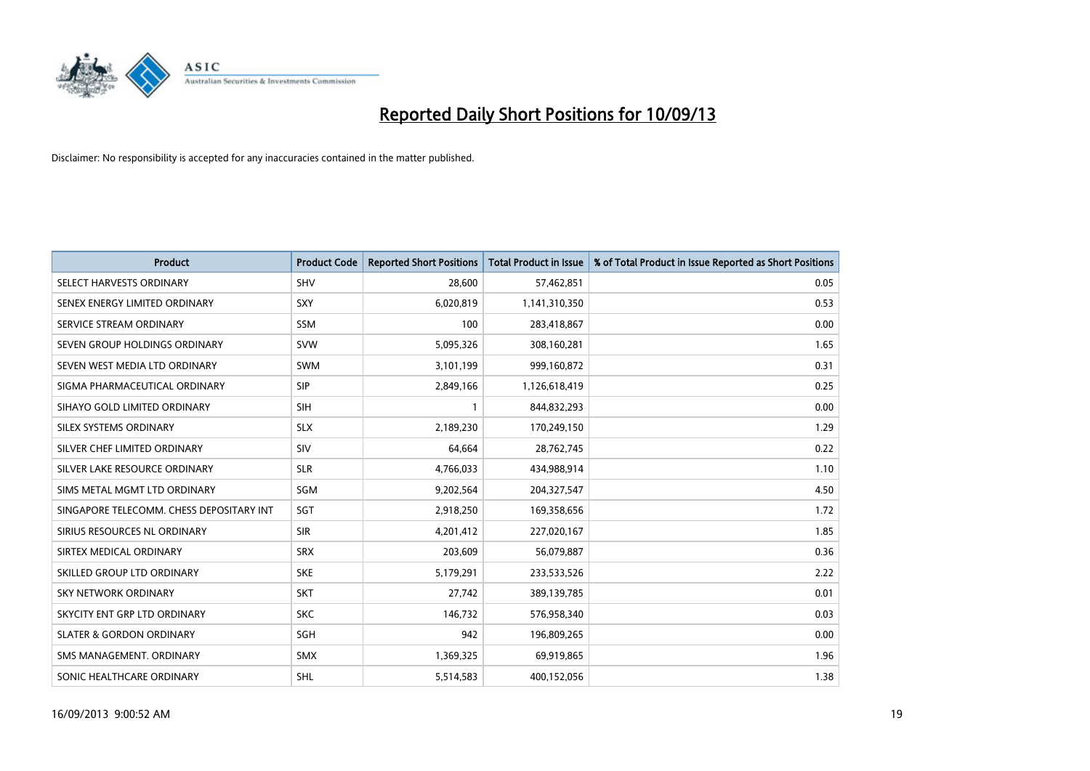

| <b>Product</b>                           | <b>Product Code</b> | <b>Reported Short Positions</b> | <b>Total Product in Issue</b> | % of Total Product in Issue Reported as Short Positions |
|------------------------------------------|---------------------|---------------------------------|-------------------------------|---------------------------------------------------------|
| SELECT HARVESTS ORDINARY                 | <b>SHV</b>          | 28,600                          | 57,462,851                    | 0.05                                                    |
| SENEX ENERGY LIMITED ORDINARY            | SXY                 | 6,020,819                       | 1,141,310,350                 | 0.53                                                    |
| SERVICE STREAM ORDINARY                  | <b>SSM</b>          | 100                             | 283,418,867                   | 0.00                                                    |
| SEVEN GROUP HOLDINGS ORDINARY            | <b>SVW</b>          | 5,095,326                       | 308,160,281                   | 1.65                                                    |
| SEVEN WEST MEDIA LTD ORDINARY            | <b>SWM</b>          | 3,101,199                       | 999,160,872                   | 0.31                                                    |
| SIGMA PHARMACEUTICAL ORDINARY            | <b>SIP</b>          | 2,849,166                       | 1,126,618,419                 | 0.25                                                    |
| SIHAYO GOLD LIMITED ORDINARY             | <b>SIH</b>          | 1                               | 844,832,293                   | 0.00                                                    |
| SILEX SYSTEMS ORDINARY                   | <b>SLX</b>          | 2,189,230                       | 170,249,150                   | 1.29                                                    |
| SILVER CHEF LIMITED ORDINARY             | SIV                 | 64,664                          | 28,762,745                    | 0.22                                                    |
| SILVER LAKE RESOURCE ORDINARY            | <b>SLR</b>          | 4,766,033                       | 434,988,914                   | 1.10                                                    |
| SIMS METAL MGMT LTD ORDINARY             | SGM                 | 9,202,564                       | 204,327,547                   | 4.50                                                    |
| SINGAPORE TELECOMM. CHESS DEPOSITARY INT | <b>SGT</b>          | 2,918,250                       | 169,358,656                   | 1.72                                                    |
| SIRIUS RESOURCES NL ORDINARY             | <b>SIR</b>          | 4,201,412                       | 227,020,167                   | 1.85                                                    |
| SIRTEX MEDICAL ORDINARY                  | <b>SRX</b>          | 203,609                         | 56,079,887                    | 0.36                                                    |
| SKILLED GROUP LTD ORDINARY               | <b>SKE</b>          | 5,179,291                       | 233,533,526                   | 2.22                                                    |
| SKY NETWORK ORDINARY                     | <b>SKT</b>          | 27,742                          | 389,139,785                   | 0.01                                                    |
| SKYCITY ENT GRP LTD ORDINARY             | <b>SKC</b>          | 146,732                         | 576,958,340                   | 0.03                                                    |
| <b>SLATER &amp; GORDON ORDINARY</b>      | SGH                 | 942                             | 196,809,265                   | 0.00                                                    |
| SMS MANAGEMENT, ORDINARY                 | <b>SMX</b>          | 1,369,325                       | 69,919,865                    | 1.96                                                    |
| SONIC HEALTHCARE ORDINARY                | <b>SHL</b>          | 5,514,583                       | 400,152,056                   | 1.38                                                    |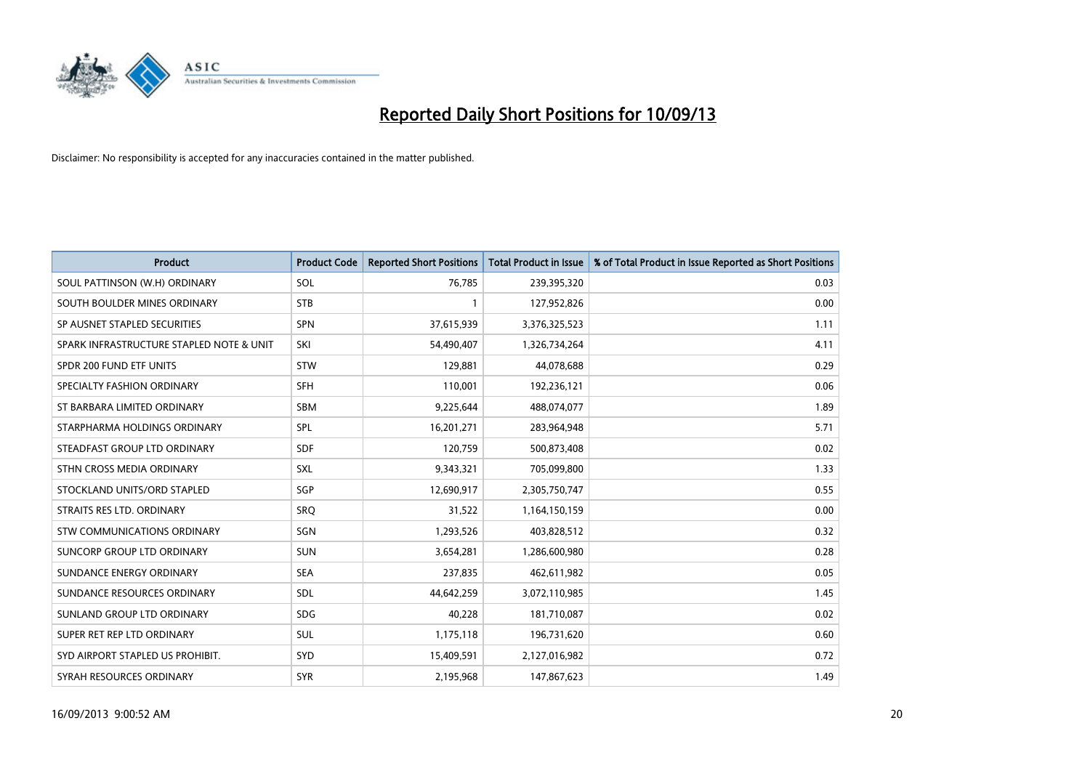

| <b>Product</b>                           | <b>Product Code</b> | <b>Reported Short Positions</b> | <b>Total Product in Issue</b> | % of Total Product in Issue Reported as Short Positions |
|------------------------------------------|---------------------|---------------------------------|-------------------------------|---------------------------------------------------------|
| SOUL PATTINSON (W.H) ORDINARY            | SOL                 | 76,785                          | 239,395,320                   | 0.03                                                    |
| SOUTH BOULDER MINES ORDINARY             | <b>STB</b>          | 1                               | 127,952,826                   | 0.00                                                    |
| SP AUSNET STAPLED SECURITIES             | <b>SPN</b>          | 37,615,939                      | 3,376,325,523                 | 1.11                                                    |
| SPARK INFRASTRUCTURE STAPLED NOTE & UNIT | SKI                 | 54,490,407                      | 1,326,734,264                 | 4.11                                                    |
| SPDR 200 FUND ETF UNITS                  | <b>STW</b>          | 129,881                         | 44,078,688                    | 0.29                                                    |
| SPECIALTY FASHION ORDINARY               | <b>SFH</b>          | 110,001                         | 192,236,121                   | 0.06                                                    |
| ST BARBARA LIMITED ORDINARY              | <b>SBM</b>          | 9,225,644                       | 488,074,077                   | 1.89                                                    |
| STARPHARMA HOLDINGS ORDINARY             | <b>SPL</b>          | 16,201,271                      | 283,964,948                   | 5.71                                                    |
| STEADFAST GROUP LTD ORDINARY             | <b>SDF</b>          | 120,759                         | 500,873,408                   | 0.02                                                    |
| STHN CROSS MEDIA ORDINARY                | <b>SXL</b>          | 9,343,321                       | 705,099,800                   | 1.33                                                    |
| STOCKLAND UNITS/ORD STAPLED              | SGP                 | 12,690,917                      | 2,305,750,747                 | 0.55                                                    |
| STRAITS RES LTD. ORDINARY                | SRQ                 | 31,522                          | 1,164,150,159                 | 0.00                                                    |
| STW COMMUNICATIONS ORDINARY              | SGN                 | 1,293,526                       | 403,828,512                   | 0.32                                                    |
| SUNCORP GROUP LTD ORDINARY               | <b>SUN</b>          | 3,654,281                       | 1,286,600,980                 | 0.28                                                    |
| SUNDANCE ENERGY ORDINARY                 | <b>SEA</b>          | 237,835                         | 462,611,982                   | 0.05                                                    |
| SUNDANCE RESOURCES ORDINARY              | SDL                 | 44,642,259                      | 3,072,110,985                 | 1.45                                                    |
| SUNLAND GROUP LTD ORDINARY               | <b>SDG</b>          | 40,228                          | 181,710,087                   | 0.02                                                    |
| SUPER RET REP LTD ORDINARY               | <b>SUL</b>          | 1,175,118                       | 196,731,620                   | 0.60                                                    |
| SYD AIRPORT STAPLED US PROHIBIT.         | SYD                 | 15,409,591                      | 2,127,016,982                 | 0.72                                                    |
| SYRAH RESOURCES ORDINARY                 | <b>SYR</b>          | 2,195,968                       | 147,867,623                   | 1.49                                                    |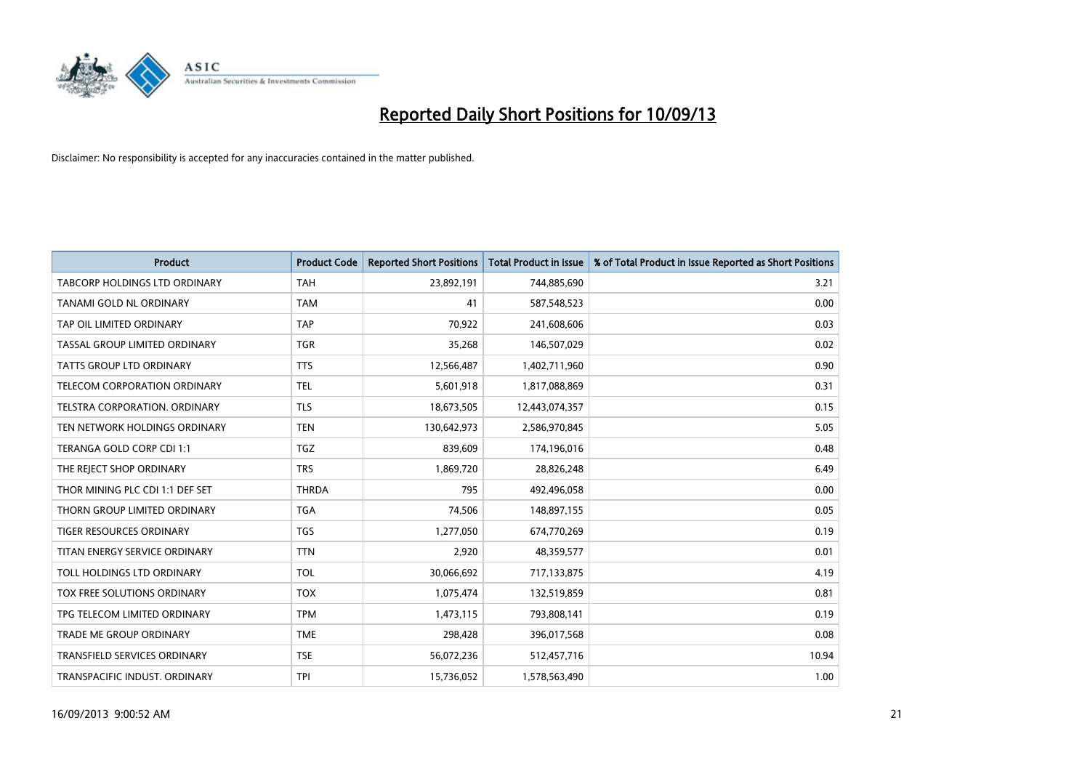

| <b>Product</b>                       | <b>Product Code</b> | <b>Reported Short Positions</b> | <b>Total Product in Issue</b> | % of Total Product in Issue Reported as Short Positions |
|--------------------------------------|---------------------|---------------------------------|-------------------------------|---------------------------------------------------------|
| <b>TABCORP HOLDINGS LTD ORDINARY</b> | <b>TAH</b>          | 23,892,191                      | 744,885,690                   | 3.21                                                    |
| TANAMI GOLD NL ORDINARY              | <b>TAM</b>          | 41                              | 587,548,523                   | 0.00                                                    |
| TAP OIL LIMITED ORDINARY             | <b>TAP</b>          | 70,922                          | 241,608,606                   | 0.03                                                    |
| TASSAL GROUP LIMITED ORDINARY        | <b>TGR</b>          | 35,268                          | 146,507,029                   | 0.02                                                    |
| <b>TATTS GROUP LTD ORDINARY</b>      | <b>TTS</b>          | 12,566,487                      | 1,402,711,960                 | 0.90                                                    |
| TELECOM CORPORATION ORDINARY         | <b>TEL</b>          | 5,601,918                       | 1,817,088,869                 | 0.31                                                    |
| TELSTRA CORPORATION, ORDINARY        | <b>TLS</b>          | 18,673,505                      | 12,443,074,357                | 0.15                                                    |
| TEN NETWORK HOLDINGS ORDINARY        | <b>TEN</b>          | 130,642,973                     | 2,586,970,845                 | 5.05                                                    |
| TERANGA GOLD CORP CDI 1:1            | <b>TGZ</b>          | 839,609                         | 174,196,016                   | 0.48                                                    |
| THE REJECT SHOP ORDINARY             | <b>TRS</b>          | 1,869,720                       | 28,826,248                    | 6.49                                                    |
| THOR MINING PLC CDI 1:1 DEF SET      | <b>THRDA</b>        | 795                             | 492,496,058                   | 0.00                                                    |
| THORN GROUP LIMITED ORDINARY         | <b>TGA</b>          | 74,506                          | 148,897,155                   | 0.05                                                    |
| TIGER RESOURCES ORDINARY             | <b>TGS</b>          | 1,277,050                       | 674,770,269                   | 0.19                                                    |
| TITAN ENERGY SERVICE ORDINARY        | <b>TTN</b>          | 2,920                           | 48,359,577                    | 0.01                                                    |
| TOLL HOLDINGS LTD ORDINARY           | <b>TOL</b>          | 30,066,692                      | 717,133,875                   | 4.19                                                    |
| TOX FREE SOLUTIONS ORDINARY          | <b>TOX</b>          | 1,075,474                       | 132,519,859                   | 0.81                                                    |
| TPG TELECOM LIMITED ORDINARY         | <b>TPM</b>          | 1,473,115                       | 793,808,141                   | 0.19                                                    |
| <b>TRADE ME GROUP ORDINARY</b>       | <b>TME</b>          | 298,428                         | 396,017,568                   | 0.08                                                    |
| <b>TRANSFIELD SERVICES ORDINARY</b>  | <b>TSE</b>          | 56,072,236                      | 512,457,716                   | 10.94                                                   |
| TRANSPACIFIC INDUST. ORDINARY        | <b>TPI</b>          | 15,736,052                      | 1,578,563,490                 | 1.00                                                    |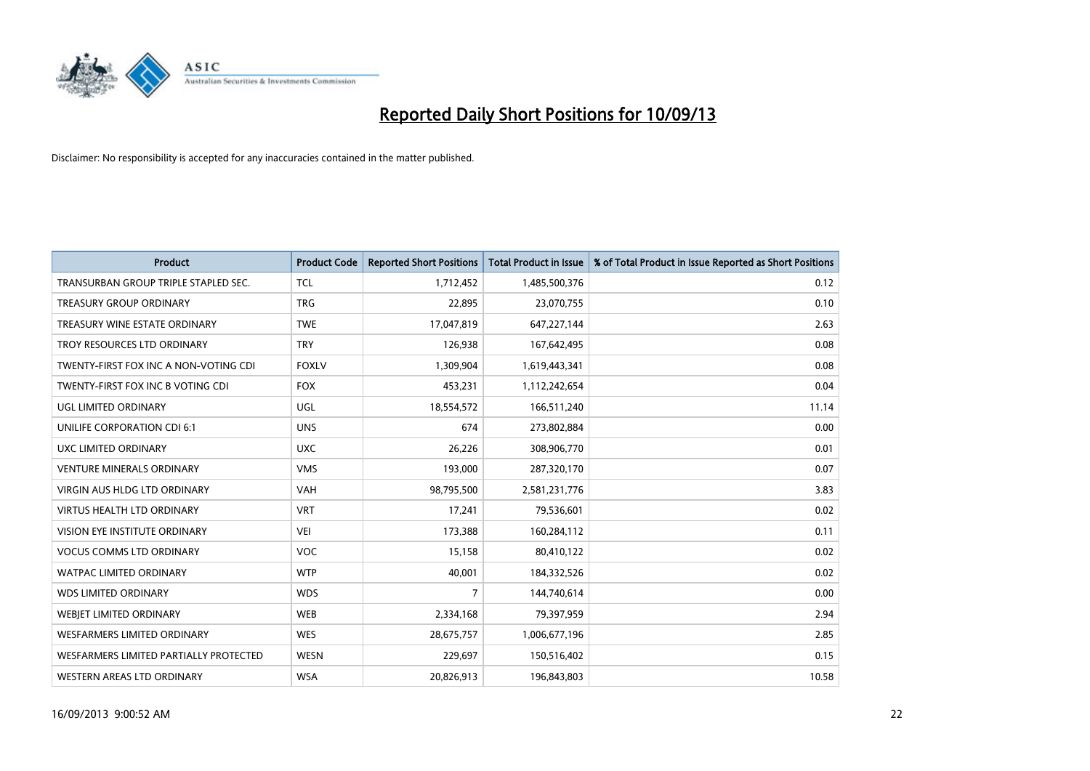

| <b>Product</b>                         | <b>Product Code</b> | <b>Reported Short Positions</b> | <b>Total Product in Issue</b> | % of Total Product in Issue Reported as Short Positions |
|----------------------------------------|---------------------|---------------------------------|-------------------------------|---------------------------------------------------------|
| TRANSURBAN GROUP TRIPLE STAPLED SEC.   | <b>TCL</b>          | 1,712,452                       | 1,485,500,376                 | 0.12                                                    |
| <b>TREASURY GROUP ORDINARY</b>         | <b>TRG</b>          | 22,895                          | 23,070,755                    | 0.10                                                    |
| TREASURY WINE ESTATE ORDINARY          | <b>TWE</b>          | 17,047,819                      | 647,227,144                   | 2.63                                                    |
| TROY RESOURCES LTD ORDINARY            | <b>TRY</b>          | 126,938                         | 167,642,495                   | 0.08                                                    |
| TWENTY-FIRST FOX INC A NON-VOTING CDI  | <b>FOXLV</b>        | 1,309,904                       | 1,619,443,341                 | 0.08                                                    |
| TWENTY-FIRST FOX INC B VOTING CDI      | <b>FOX</b>          | 453,231                         | 1,112,242,654                 | 0.04                                                    |
| UGL LIMITED ORDINARY                   | UGL                 | 18,554,572                      | 166,511,240                   | 11.14                                                   |
| UNILIFE CORPORATION CDI 6:1            | <b>UNS</b>          | 674                             | 273,802,884                   | 0.00                                                    |
| UXC LIMITED ORDINARY                   | <b>UXC</b>          | 26,226                          | 308,906,770                   | 0.01                                                    |
| <b>VENTURE MINERALS ORDINARY</b>       | <b>VMS</b>          | 193,000                         | 287,320,170                   | 0.07                                                    |
| VIRGIN AUS HLDG LTD ORDINARY           | VAH                 | 98,795,500                      | 2,581,231,776                 | 3.83                                                    |
| <b>VIRTUS HEALTH LTD ORDINARY</b>      | <b>VRT</b>          | 17,241                          | 79,536,601                    | 0.02                                                    |
| <b>VISION EYE INSTITUTE ORDINARY</b>   | <b>VEI</b>          | 173,388                         | 160,284,112                   | 0.11                                                    |
| <b>VOCUS COMMS LTD ORDINARY</b>        | <b>VOC</b>          | 15,158                          | 80,410,122                    | 0.02                                                    |
| <b>WATPAC LIMITED ORDINARY</b>         | <b>WTP</b>          | 40,001                          | 184,332,526                   | 0.02                                                    |
| <b>WDS LIMITED ORDINARY</b>            | <b>WDS</b>          | $\overline{7}$                  | 144,740,614                   | 0.00                                                    |
| WEBIET LIMITED ORDINARY                | <b>WEB</b>          | 2,334,168                       | 79,397,959                    | 2.94                                                    |
| <b>WESFARMERS LIMITED ORDINARY</b>     | <b>WES</b>          | 28,675,757                      | 1,006,677,196                 | 2.85                                                    |
| WESFARMERS LIMITED PARTIALLY PROTECTED | <b>WESN</b>         | 229,697                         | 150,516,402                   | 0.15                                                    |
| WESTERN AREAS LTD ORDINARY             | <b>WSA</b>          | 20,826,913                      | 196,843,803                   | 10.58                                                   |